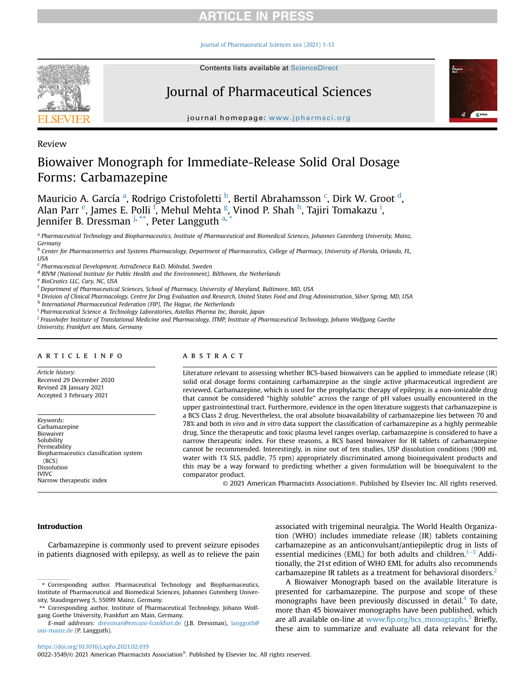[Journal of Pharmaceutical Sciences xxx \(2021\) 1-13](https://doi.org/10.1016/j.xphs.2021.02.019)



Contents lists available at ScienceDirect

# Journal of Pharmaceutical Sciences



journal homepage: [www.jpharmsci.org](http://www.jpharmsci.org)

Review

## Biowaiver Monograph for Immediate-Release Solid Oral Dosage Forms: Carbamazepine

M[a](#page-0-0)uricio A. García <sup>a</sup>, Rodrigo Cristofoletti <sup>[b](#page-0-1)</sup>, Bertil Abrahamsson <sup>[c](#page-0-2)</sup>, Dirk W. Groot <sup>[d](#page-0-3)</sup>, Alan Parr <sup>[e](#page-0-4)</sup>, James E. Polli <sup>[f](#page-0-5)</sup>, Mehul Mehta <sup>[g](#page-0-6)</sup>, Vinod P. S[h](#page-0-7)ah <sup>h</sup>, Taj[i](#page-0-8)ri Tomakazu <sup>i</sup>, Jennifer B. Dressman <sup>[j](#page-0-9), [\\*\\*](#page-0-10)</sup>, Peter L[a](#page-0-0)ngguth <sup>a, [\\*](#page-0-11)</sup>

<span id="page-0-0"></span>a Pharmaceutical Technology and Biopharmaceutics, Institute of Pharmaceutical and Biomedical Sciences, Johannes Gutenberg University, Mainz, Germany

<span id="page-0-1"></span><sup>b</sup> Center for Pharmacometrics and Systems Pharmacology, Department of Pharmaceutics, College of Pharmacy, University of Florida, Orlando, FL, USA

<span id="page-0-2"></span> $c$  Pharmaceutical Development, AstraZeneca R&D, Mölndal, Sweden

<span id="page-0-3"></span><sup>d</sup> RIVM (National Institute for Public Health and the Environment), Bilthoven, the Netherlands

<span id="page-0-4"></span><sup>e</sup> BioCeutics LLC, Cary, NC, USA

<span id="page-0-5"></span><sup>f</sup> Department of Pharmaceutical Sciences, School of Pharmacy, University of Maryland, Baltimore, MD, USA

<span id="page-0-6"></span><sup>g</sup> Division of Clinical Pharmacology, Centre for Drug Evaluation and Research, United States Food and Drug Administration, Silver Spring, MD, USA

<span id="page-0-7"></span>h International Pharmaceutical Federation (FIP), The Hague, the Netherlands

<span id="page-0-8"></span><sup>i</sup> Pharmaceutical Science & Technology Laboratories, Astellas Pharma Inc, Ibaraki, Japan

<span id="page-0-9"></span><sup>j</sup> Fraunhofer Institute of Translational Medicine and Pharmacology, ITMP, Institute of Pharmaceutical Technology, Johann Wolfgang Goethe

University, Frankfurt am Main, Germany

#### article info

Article history: Received 29 December 2020 Revised 28 January 2021 Accepted 3 February 2021

Keywords: Carbamazepine Biowaiver Solubility Permeability Biopharmaceutics classification system  $(RCS)$ Dissolution **IVIVC** Narrow therapeutic index

### ABSTRACT

Literature relevant to assessing whether BCS-based biowaivers can be applied to immediate release (IR) solid oral dosage forms containing carbamazepine as the single active pharmaceutical ingredient are reviewed. Carbamazepine, which is used for the prophylactic therapy of epilepsy, is a non-ionizable drug that cannot be considered "highly soluble" across the range of pH values usually encountered in the upper gastrointestinal tract. Furthermore, evidence in the open literature suggests that carbamazepine is a BCS Class 2 drug. Nevertheless, the oral absolute bioavailability of carbamazepine lies between 70 and 78% and both in vivo and in vitro data support the classification of carbamazepine as a highly permeable drug. Since the therapeutic and toxic plasma level ranges overlap, carbamazepine is considered to have a narrow therapeutic index. For these reasons, a BCS based biowaiver for IR tablets of carbamazepine cannot be recommended. Interestingly, in nine out of ten studies, USP dissolution conditions (900 mL water with 1% SLS, paddle, 75 rpm) appropriately discriminated among bioinequivalent products and this may be a way forward to predicting whether a given formulation will be bioequivalent to the comparator product.

© 2021 American Pharmacists Association®. Published by Elsevier Inc. All rights reserved.

### Introduction

Carbamazepine is commonly used to prevent seizure episodes in patients diagnosed with epilepsy, as well as to relieve the pain

associated with trigeminal neuralgia. The World Health Organization (WHO) includes immediate release (IR) tablets containing carbamazepine as an anticonvulsant/antiepileptic drug in lists of essential medicines (EML) for both adults and children. $1-3$  $1-3$  Additionally, the 21st edition of WHO EML for adults also recommends carbamazepine IR tablets as a treatment for behavioral disorders.<sup>[2](#page-11-0)</sup>

A Biowaiver Monograph based on the available literature is presented for carbamazepine. The purpose and scope of these monographs have been previously discussed in detail.<sup>[4](#page-11-1)</sup> To date, more than 45 biowaiver monographs have been published, which are all available on-line at www.fi[p.org/bcs\\_monographs](http://www.fip.org/bcs_monographs).<sup>[5](#page-11-2)</sup> Briefly, these aim to summarize and evaluate all data relevant for the

<span id="page-0-11"></span><sup>\*</sup> Corresponding author. Pharmaceutical Technology and Biopharmaceutics, Institute of Pharmaceutical and Biomedical Sciences, Johannes Gutenberg University, Staudingerweg 5, 55099 Mainz, Germany.

<span id="page-0-10"></span><sup>\*\*</sup> Corresponding author. Institute of Pharmaceutical Technology, Johann Wolfgang Goethe University, Frankfurt am Main, Germany.

E-mail addresses: [dressman@em.uni-frankfurt.de](mailto:dressman@em.uni-frankfurt.de) (J.B. Dressman), [langguth@](mailto:langguth@uni-mainz.de) [uni-mainz.de](mailto:langguth@uni-mainz.de) (P. Langguth).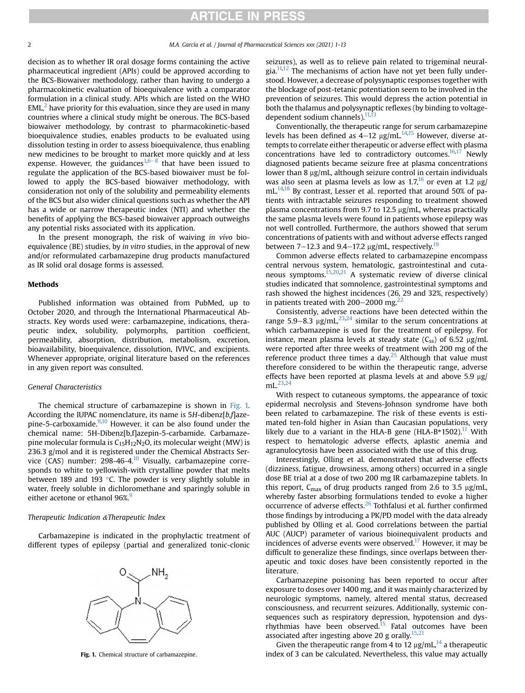decision as to whether IR oral dosage forms containing the active pharmaceutical ingredient (APIs) could be approved according to the BCS-Biowaiver methodology, rather than having to undergo a pharmacokinetic evaluation of bioequivalence with a comparator formulation in a clinical study. APIs which are listed on the WHO  $EML<sup>2</sup>$  $EML<sup>2</sup>$  $EML<sup>2</sup>$  have priority for this evaluation, since they are used in many countries where a clinical study might be onerous. The BCS-based biowaiver methodology, by contrast to pharmacokinetic-based bioequivalence studies, enables products to be evaluated using dissolution testing in order to assess bioequivalence, thus enabling new medicines to be brought to market more quickly and at less expense. However, the guidances<sup>[1,](#page-10-0)[6](#page-11-3)–[8](#page-11-3)</sup> that have been issued to regulate the application of the BCS-based biowaiver must be followed to apply the BCS-based biowaiver methodology, with consideration not only of the solubility and permeability elements of the BCS but also wider clinical questions such as whether the API has a wide or narrow therapeutic index (NTI) and whether the benefits of applying the BCS-based biowaiver approach outweighs any potential risks associated with its application.

In the present monograph, the risk of waiving in vivo bioequivalence (BE) studies, by in vitro studies, in the approval of new and/or reformulated carbamazepine drug products manufactured as IR solid oral dosage forms is assessed.

### Methods

Published information was obtained from PubMed, up to October 2020, and through the International Pharmaceutical Abstracts. Key words used were: carbamazepine, indications, therapeutic index, solubility, polymorphs, partition coefficient, permeability, absorption, distribution, metabolism, excretion, bioavailability, bioequivalence, dissolution, IVIVC, and excipients. Whenever appropriate, original literature based on the references in any given report was consulted.

### General Characteristics

The chemical structure of carbamazepine is shown in [Fig. 1.](#page-1-0) According the IUPAC nomenclature, its name is 5H-dibenz[b,f]azepine-5-carboxamide. $9,10$  $9,10$  However, it can be also found under the chemical name: 5H-Dibenz[b,f]azepin-5-carbamide. Carbamazepine molecular formula is  $C_{15}H_{12}N_2O$ , its molecular weight (MW) is 236.3 g/mol and it is registered under the Chemical Abstracts Ser-vice (CAS) number: 298-46-4.<sup>[10](#page-11-5)</sup> Visually, carbamazepine corresponds to white to yellowish-with crystalline powder that melts between 189 and 193  $\degree$ C. The powder is very slightly soluble in water, freely soluble in dichloromethane and sparingly soluble in either acetone or ethanol [9](#page-11-4)6%.<sup>9</sup>

#### Therapeutic Indication &Therapeutic Index

<span id="page-1-0"></span>Carbamazepine is indicated in the prophylactic treatment of different types of epilepsy (partial and generalized tonic-clonic



seizures), as well as to relieve pain related to trigeminal neural-gia.<sup>[11,](#page-11-6)[12](#page-11-7)</sup> The mechanisms of action have not yet been fully understood. However, a decrease of polysynaptic responses together with the blockage of post-tetanic potentiation seem to be involved in the prevention of seizures. This would depress the action potential in both the thalamus and polysynaptic reflexes (by binding to voltage-dependent sodium channels).<sup>[11,](#page-11-6)[13](#page-11-8)</sup>

Conventionally, the therapeutic range for serum carbamazepine levels has been defined as  $4-12 \mu g/mL^{14,15}$  $4-12 \mu g/mL^{14,15}$  $4-12 \mu g/mL^{14,15}$  However, diverse attempts to correlate either therapeutic or adverse effect with plasma concentrations have led to contradictory outcomes.<sup>[16](#page-11-11)[,17](#page-11-12)</sup> Newly diagnosed patients became seizure free at plasma concentrations lower than 8 µg/mL, although seizure control in certain individuals was also seen at plasma levels as low as  $1.7<sup>16</sup>$  or even at  $1.2 \mu g$ / mL.<sup>14,[18](#page-11-13)</sup> By contrast, Lesser et al. reported that around 50% of patients with intractable seizures responding to treatment showed plasma concentrations from 9.7 to 12.5  $\mu$ g/mL, whereas practically the same plasma levels were found in patients whose epilepsy was not well controlled. Furthermore, the authors showed that serum concentrations of patients with and without adverse effects ranged between 7–12.3 and 9.4–17.2  $\mu$ g/mL, respectively.<sup>19</sup>

Common adverse effects related to carbamazepine encompass central nervous system, hematologic, gastrointestinal and cutaneous symptoms.[15](#page-11-10),[20,](#page-11-15)[21](#page-11-16) A systematic review of diverse clinical studies indicated that somnolence, gastrointestinal symptoms and rash showed the highest incidences (26, 29 and 32%, respectively) in patients treated with  $200-2000$  mg.<sup>22</sup>

Consistently, adverse reactions have been detected within the range 5.9–8.3  $\mu$ g/mL,<sup>23,[24](#page-11-19)</sup> similar to the serum concentrations at which carbamazepine is used for the treatment of epilepsy. For instance, mean plasma levels at steady state  $(C_{ss})$  of 6.52  $\mu$ g/mL were reported after three weeks of treatment with 200 mg of the reference product three times a day. $25$  Although that value must therefore considered to be within the therapeutic range, adverse effects have been reported at plasma levels at and above 5.9  $\mu$ g/ mL.[23](#page-11-18),[24](#page-11-19)

With respect to cutaneous symptoms, the appearance of toxic epidermal necrolysis and Stevens-Johnson syndrome have both been related to carbamazepine. The risk of these events is estimated ten-fold higher in Asian than Caucasian populations, very likely due to a variant in the HLA-B gene (HLA-B\*1502).<sup>[11](#page-11-6)</sup> With respect to hematologic adverse effects, aplastic anemia and agranulocytosis have been associated with the use of this drug.

Interestingly, Olling et al. demonstrated that adverse effects (dizziness, fatigue, drowsiness, among others) occurred in a single dose BE trial at a dose of two 200 mg IR carbamazepine tablets. In this report,  $C_{\text{max}}$  of drug products ranged from 2.6 to 3.5 µg/mL, whereby faster absorbing formulations tended to evoke a higher occurrence of adverse effects.<sup>[26](#page-11-21)</sup> Tothfalusi et al. further confirmed those findings by introducing a PK/PD model with the data already published by Olling et al. Good correlations between the partial AUC (AUCP) parameter of various bioinequivalent products and incidences of adverse events were observed.<sup>17</sup> However, it may be difficult to generalize these findings, since overlaps between therapeutic and toxic doses have been consistently reported in the literature.

Carbamazepine poisoning has been reported to occur after exposure to doses over 1400 mg, and it was mainly characterized by neurologic symptoms, namely, altered mental status, decreased consciousness, and recurrent seizures. Additionally, systemic consequences such as respiratory depression, hypotension and dys-rhythmias have been observed.<sup>[15](#page-11-10)</sup> Fatal outcomes have been associated after ingesting above 20 g orally.<sup>[15](#page-11-10)[,21](#page-11-16)</sup>

Given the therapeutic range from 4 to 12  $\mu$ g/mL,<sup>[14](#page-11-9)</sup> a therapeutic Fig. 1. Chemical structure of carbamazepine. index of 3 can be calculated. Nevertheless, this value may actually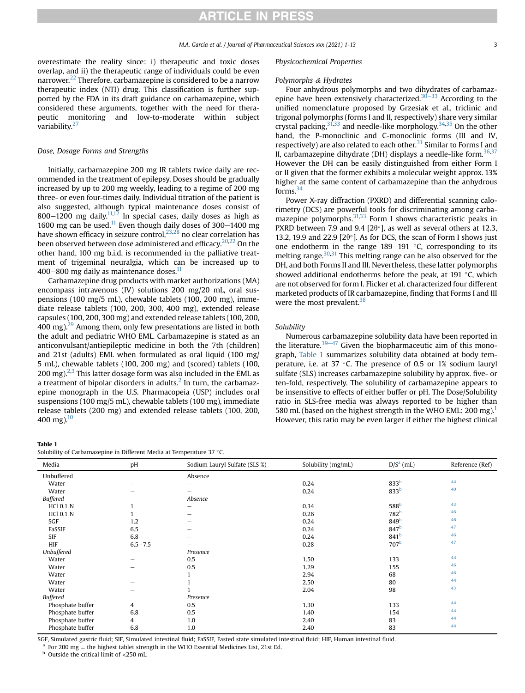overestimate the reality since: i) therapeutic and toxic doses overlap, and ii) the therapeutic range of individuals could be even narrower.<sup>[22](#page-11-17)</sup> Therefore, carbamazepine is considered to be a narrow therapeutic index (NTI) drug. This classification is further supported by the FDA in its draft guidance on carbamazepine, which considered these arguments, together with the need for therapeutic monitoring and low-to-moderate within subject variability.<sup>27</sup>

#### Dose, Dosage Forms and Strengths

Initially, carbamazepine 200 mg IR tablets twice daily are recommended in the treatment of epilepsy. Doses should be gradually increased by up to 200 mg weekly, leading to a regime of 200 mg three- or even four-times daily. Individual titration of the patient is also suggested, although typical maintenance doses consist of 800-1200 mg daily.<sup>[11,](#page-11-6)[12](#page-11-7)</sup> In special cases, daily doses as high as 1600 mg can be used.<sup>[11](#page-11-6)</sup> Even though daily doses of 300 $-$ 1400 mg have shown efficacy in seizure control, $^{23,28}$  $^{23,28}$  $^{23,28}$  $^{23,28}$  no clear correlation has been observed between dose administered and efficacy.<sup>[20](#page-11-15)[,22](#page-11-17)</sup> On the other hand, 100 mg b.i.d. is recommended in the palliative treatment of trigeminal neuralgia, which can be increased up to  $400-800$  mg daily as maintenance doses. $^{11}$ 

Carbamazepine drug products with market authorizations (MA) encompass intravenous (IV) solutions 200 mg/20 mL, oral suspensions (100 mg/5 mL), chewable tablets (100, 200 mg), immediate release tablets (100, 200, 300, 400 mg), extended release capsules (100, 200, 300 mg) and extended release tablets (100, 200, 400 mg)[.29](#page-11-24) Among them, only few presentations are listed in both the adult and pediatric WHO EML. Carbamazepine is stated as an anticonvulsant/antiepileptic medicine in both the 7th (children) and 21st (adults) EML when formulated as oral liquid (100 mg/ 5 mL), chewable tablets (100, 200 mg) and (scored) tablets (100, 200 mg). $2,3$  $2,3$  This latter dosage form was also included in the EML as a treatment of bipolar disorders in adults. $<sup>2</sup>$  $<sup>2</sup>$  $<sup>2</sup>$  In turn, the carbamaz-</sup> epine monograph in the U.S. Pharmacopeia (USP) includes oral suspensions (100 mg/5 mL), chewable tablets (100 mg), immediate release tablets (200 mg) and extended release tablets (100, 200, 400 mg). $^{10}$ 

### <span id="page-2-0"></span>Table 1

Solubility of Carbamazepine in Different Media at Temperature 37 °C.

#### Physicochemical Properties

#### Polymorphs & Hydrates

Four anhydrous polymorphs and two dihydrates of carbamaz-epine have been extensively characterized.<sup>[30](#page-11-26)–[33](#page-11-26)</sup> According to the unified nomenclature proposed by Grzesiak et al., triclinic and trigonal polymorphs (forms I and II, respectively) share very similar crystal packing,  $3^{1,33}$  $3^{1,33}$  $3^{1,33}$  and needle-like morphology.  $34,35$  $34,35$  On the other hand, the P-monoclinic and C-monoclinic forms (III and IV, respectively) are also related to each other.<sup>[31](#page-11-27)</sup> Similar to Forms I and II, carbamazepine dihydrate (DH) displays a needle-like form. $36,37$  $36,37$  $36,37$ However the DH can be easily distinguished from either Form I or II given that the former exhibits a molecular weight approx. 13% higher at the same content of carbamazepine than the anhydrous forms[.34](#page-11-29)

Power X-ray diffraction (PXRD) and differential scanning calorimetry (DCS) are powerful tools for discriminating among carba-mazepine polymorphs.<sup>[31](#page-11-27)[,33](#page-11-28)</sup> Form I shows characteristic peaks in PXRD between 7.9 and 9.4 [2 $\theta$ °], as well as several others at 12.3, 13.2, 19.9 and 22.9 [ $2\theta$ °]. As for DCS, the scan of Form I shows just one endotherm in the range  $189-191$  °C, corresponding to its melting range.<sup>30,[31](#page-11-27)</sup> This melting range can be also observed for the DH, and both Forms II and III. Nevertheless, these latter polymorphs showed additional endotherms before the peak, at 191 $\degree$ C, which are not observed for form I. Flicker et al. characterized four different marketed products of IR carbamazepine, finding that Forms I and III were the most prevalent.<sup>[38](#page-11-33)</sup>

#### Solubility

Numerous carbamazepine solubility data have been reported in the literature.<sup>[39](#page-11-34)–[47](#page-11-34)</sup> Given the biopharmaceutic aim of this monograph, [Table 1](#page-2-0) summarizes solubility data obtained at body temperature, i.e. at 37  $\degree$ C. The presence of 0.5 or 1% sodium lauryl sulfate (SLS) increases carbamazepine solubility by approx. five- or ten-fold, respectively. The solubility of carbamazepine appears to be insensitive to effects of either buffer or pH. The Dose/Solubility ratio in SLS-free media was always reported to be higher than 580 mL (based on the highest strength in the WHO EML: 200 mg).<sup>1</sup> However, this ratio may be even larger if either the highest clinical

| Media            | pH          | Sodium Lauryl Sulfate (SLS %) | Solubility (mg/mL) | $D/Sa$ (mL)      | Reference (Ref) |
|------------------|-------------|-------------------------------|--------------------|------------------|-----------------|
| Unbuffered       |             | Absence                       |                    |                  |                 |
| Water            | -           |                               | 0.24               | 833 <sup>b</sup> | 44              |
| Water            | -           | -                             | 0.24               | 833 <sup>b</sup> | 40              |
| <b>Buffered</b>  |             | Absence                       |                    |                  |                 |
| <b>HCl 0.1 N</b> |             | $\qquad \qquad$               | 0.34               | 588 <sup>b</sup> | 43              |
| <b>HCl 0.1 N</b> |             | $\qquad \qquad$               | 0.26               | 782 <sup>b</sup> | 46              |
| SGF              | 1.2         | -                             | 0.24               | 849 <sup>b</sup> | 46              |
| FaSSIF           | 6.5         | -                             | 0.24               | 847 <sup>b</sup> | 47              |
| <b>SIF</b>       | 6.8         |                               | 0.24               | 841 <sup>b</sup> | 46              |
| HIF              | $6.5 - 7.5$ | -                             | 0.28               | 707 <sup>b</sup> | 47              |
| Unbuffered       |             | Presence                      |                    |                  |                 |
| Water            | -           | 0.5                           | 1.50               | 133              | 44              |
| Water            |             | 0.5                           | 1.29               | 155              | 46              |
| Water            |             |                               | 2.94               | 68               | 46              |
| Water            |             |                               | 2.50               | 80               | 44              |
| Water            | -           | и                             | 2.04               | 98               | 43              |
| <b>Buffered</b>  |             | Presence                      |                    |                  |                 |
| Phosphate buffer | 4           | 0.5                           | 1.30               | 133              | 44              |
| Phosphate buffer | 6.8         | 0.5                           | 1.40               | 154              | 44              |
| Phosphate buffer | 4           | 1.0                           | 2.40               | 83               | 44              |
| Phosphate buffer | 6.8         | 1.0                           | 2.40               | 83               | 44              |

<span id="page-2-1"></span>SGF, Simulated gastric fluid; SIF, Simulated intestinal fluid; FaSSIF, Fasted state simulated intestinal fluid; HIF, Human intestinal fluid.

<span id="page-2-2"></span><sup>a</sup> For 200 mg = the highest tablet strength in the WHO Essential Medicines List, 21st Ed. b Outside the critical limit of <250 mL.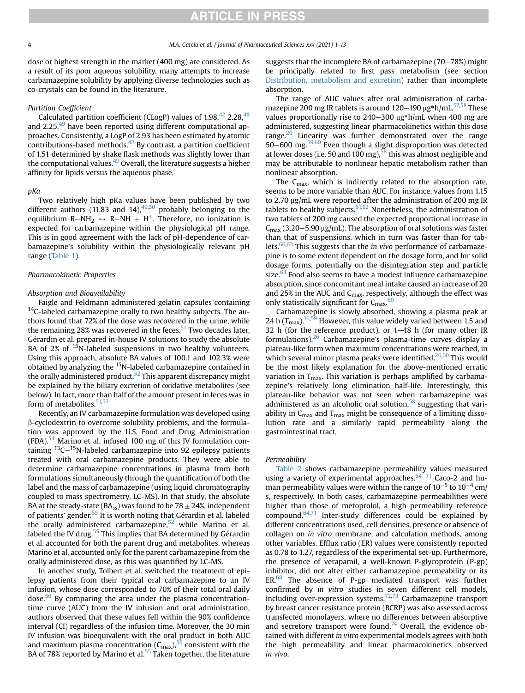dose or highest strength in the market (400 mg) are considered. As a result of its poor aqueous solubility, many attempts to increase carbamazepine solubility by applying diverse technologies such as co-crystals can be found in the literature.

#### Partition Coefficient

Calculated partition coefficient (CLogP) values of  $1.98,^{42}$  $1.98,^{42}$  $1.98,^{42}$  2.28, $^{48}$  $^{48}$  $^{48}$ and 2.25, $^{49}$  $^{49}$  $^{49}$  have been reported using different computational approaches. Consistently, a LogP of 2.93 has been estimated by atomic contributions-based methods. $42$  By contrast, a partition coefficient of 1.51 determined by shake flask methods was slightly lower than the computational values. $49$  Overall, the literature suggests a higher affinity for lipids versus the aqueous phase.

#### pKa

Two relatively high pKa values have been published by two different authors  $(11.83 \text{ and } 14)$ ,  $49.50 \text{ probably belonging to the}$  $49.50 \text{ probably belonging to the}$ equilibrium R-NH<sub>2</sub>  $\leftrightarrow$  R-NH  $+$  H<sup>+</sup>. Therefore, no ionization is expected for carbamazepine within the physiological pH range. This is in good agreement with the lack of pH-dependence of carbamazepine's solubility within the physiologically relevant pH range [\(Table 1](#page-2-0)).

### Pharmacokinetic Properties

#### Absorption and Bioavailability

Faigle and Feldmann administered gelatin capsules containing  $14$ C-labeled carbamazepine orally to two healthy subjects. The authors found that 72% of the dose was recovered in the urine, while the remaining 28% was recovered in the feces.<sup>[51](#page-11-44)</sup> Two decades later, Gérardin et al. prepared in-house IV solutions to study the absolute BA of 2% of <sup>15</sup>N-labeled suspensions in two healthy volunteers. Using this approach, absolute BA values of 100.1 and 102.3% were obtained by analyzing the <sup>15</sup>N-labeled carbamazepine contained in the orally administered product.<sup>[52](#page-11-45)</sup> This apparent discrepancy might be explained by the biliary excretion of oxidative metabolites (see below). In fact, more than half of the amount present in feces was in form of metabolites.<sup>51,[53](#page-11-46)</sup>

Recently, an IV carbamazepine formulation was developed using b-cyclodextrin to overcome solubility problems, and the formulation was approved by the U.S. Food and Drug Administration (FDA).<sup>[54](#page-11-47)</sup> Marino et al. infused 100 mg of this IV formulation containing  ${}^{13}C-{}^{15}N$ -labeled carbamazepine into 92 epilepsy patients treated with oral carbamazepine products. They were able to determine carbamazepine concentrations in plasma from both formulations simultaneously through the quantification of both the label and the mass of carbamazepine (using liquid chromatography coupled to mass spectrometry, LC-MS). In that study, the absolute BA at the steady-state (BA<sub>ss</sub>) was found to be 78  $\pm$  24%, independent of patients' gender.<sup>[55](#page-12-0)</sup> It is worth noting that Gérardin et al. labeled the orally administered carbamazepine, $52$  while Marino et al. labeled the IV drug. $^{55}$  This implies that BA determined by Gérardin et al. accounted for both the parent drug and metabolites, whereas Marino et al. accounted only for the parent carbamazepine from the orally administered dose, as this was quantified by LC-MS.

In another study, Tolbert et al. switched the treatment of epilepsy patients from their typical oral carbamazepine to an IV infusion, whose dose corresponded to 70% of their total oral daily dose.<sup>[56](#page-12-1)</sup> By comparing the area under the plasma concentrationtime curve (AUC) from the IV infusion and oral administration, authors observed that these values fell within the 90% confidence interval (CI) regardless of the infusion time. Moreover, the 30 min IV infusion was bioequivalent with the oral product in both AUC and maximum plasma concentration  $(C_{\text{max}})^{56}$  $(C_{\text{max}})^{56}$  $(C_{\text{max}})^{56}$  consistent with the BA of 78% reported by Marino et al. $55$  Taken together, the literature suggests that the incomplete BA of carbamazepine  $(70-78%)$  might be principally related to first pass metabolism (see section [Distribution, metabolism and excretion\)](#page-4-0) rather than incomplete absorption.

The range of AUC values after oral administration of carbamazepine 200 mg IR tablets is around  $120-190 \mu g*h/mL$ .<sup>57,[58](#page-12-3)</sup> These values proportionally rise to  $240-300$   $\mu$ g\*h/mL when 400 mg are administered, suggesting linear pharmacokinetics within this dose range. $26$  Linearity was further demonstrated over the range  $50-600$  $50-600$  $50-600$  mg.<sup>[59,](#page-12-4)60</sup> Even though a slight disproportion was detected at lower doses (i.e. 50 and 100 mg),  $58$  this was almost negligible and may be attributable to nonlinear hepatic metabolism rather than nonlinear absorption.

The  $C_{\text{max}}$ , which is indirectly related to the absorption rate, seems to be more variable than AUC. For instance, values from 1.15 to 2.70  $\mu$ g/mL were reported after the administration of 200 mg IR tablets to healthy subjects.  $61,62$  $61,62$  Nonetheless, the administration of two tablets of 200 mg caused the expected proportional increase in  $C_{\text{max}}$  (3.20–5.90  $\mu$ g/mL). The absorption of oral solutions was faster than that of suspensions, which in turn was faster than for tab-lets.<sup>[60](#page-12-5)[,63](#page-12-8)</sup> This suggests that the *in vivo* performance of carbamazepine is to some extent dependent on the dosage form, and for solid dosage forms, potentially on the disintegration step and particle size.<sup>[63](#page-12-8)</sup> Food also seems to have a modest influence carbamazepine absorption, since concomitant meal intake caused an increase of 20 and 25% in the AUC and  $C_{\text{max}}$ , respectively, although the effect was only statistically significant for  $C_{\rm max}$ .  $60$ 

Carbamazepine is slowly absorbed, showing a plasma peak at 24 h  $(T_{\text{max}})^{16,59}$  $(T_{\text{max}})^{16,59}$  $(T_{\text{max}})^{16,59}$  $(T_{\text{max}})^{16,59}$  $(T_{\text{max}})^{16,59}$  However, this value widely varied between 1.5 and 32 h (for the reference product), or  $1-48$  h (for many other IR formulations). $26$  Carbamazepine's plasma-time curves display a plateau-like form when maximum concentrations were reached, in which several minor plasma peaks were identified.<sup>26,[60](#page-12-5)</sup> This would be the most likely explanation for the above-mentioned erratic variation in  $T<sub>max</sub>$ . This variation is perhaps amplified by carbamazepine's relatively long elimination half-life. Interestingly, this plateau-like behavior was not seen when carbamazepine was administered as an alcoholic oral solution, $58$  suggesting that variability in  $C_{\text{max}}$  and  $T_{\text{max}}$  might be consequence of a limiting dissolution rate and a similarly rapid permeability along the gastrointestinal tract.

#### Permeability

[Table 2](#page-4-1) shows carbamazepine permeability values measured using a variety of experimental approaches.  $64-71$  $64-71$  Caco-2 and human permeability values were within the range of  $10^{-5}$  to  $10^{-4}$  cm/ s, respectively. In both cases, carbamazepine permeabilities were higher than those of metoprolol, a high permeability reference compound. $64,71$  $64,71$  Inter-study differences could be explained by different concentrations used, cell densities, presence or absence of collagen on in vitro membrane, and calculation methods, among other variables. Efflux ratio (ER) values were consistently reported as 0.78 to 1.27, regardless of the experimental set-up. Furthermore, the presence of verapamil, a well-known P-glycoprotein (P-gp) inhibitor, did not alter either carbamazepine permeability or its  $ER<sup>68</sup>$  The absence of P-gp mediated transport was further confirmed by in vitro studies in seven different cell models, including over-expression systems.<sup>72,[73](#page-12-13)</sup> Carbamazepine transport by breast cancer resistance protein (BCRP) was also assessed across transfected monolayers, where no differences between absorptive and secretory transport were found.<sup>74</sup> Overall, the evidence obtained with different in vitro experimental models agrees with both the high permeability and linear pharmacokinetics observed in vivo.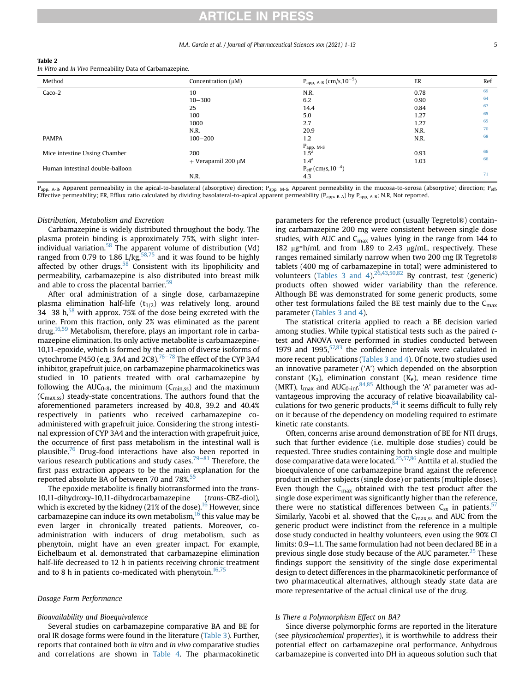#### M.A. García et al. / Journal of Pharmaceutical Sciences xxx (2021) 1-13 5

#### <span id="page-4-1"></span>Table 2

In Vitro and In Vivo Permeability Data of Carbamazepine.

| Method                          | Concentration $(\mu M)$   | $P_{app, A-B}$ (cm/s,10 <sup>-5</sup> )   | ER   | Ref |
|---------------------------------|---------------------------|-------------------------------------------|------|-----|
| Caco-2                          | 10                        | N.R.                                      | 0.78 | 69  |
|                                 | $10 - 300$                | 6.2                                       | 0.90 | 64  |
|                                 | 25                        | 14.4                                      | 0.84 | 67  |
|                                 | 100                       | 5.0                                       | 1.27 | 65  |
|                                 | 1000                      | 2.7                                       | 1.27 | 65  |
|                                 | N.R.                      | 20.9                                      | N.R. | 70  |
| <b>PAMPA</b>                    | $100 - 200$               | 1.2                                       | N.R. | 68  |
|                                 |                           | $P_{app, M-S}$                            |      |     |
| Mice intestine Ussing Chamber   | 200                       | 1.5 <sup>a</sup>                          | 0.93 | 66  |
|                                 | $+$ Verapamil 200 $\mu$ M | $1.4^{a}$                                 | 1.03 | 66  |
| Human intestinal double-balloon |                           | $P_{\text{eff}}$ (cm/s,10 <sup>-4</sup> ) |      |     |
|                                 | N.R.                      | 4.3                                       |      | 71  |

<sub>pp, A-B</sub>, Apparent permeability in the apical-to-basolateral (absorptive) direction; P<sub>app, M-S</sub>, Apparent permeability in the mucosa-to-serosa (absorptive) direction; P<sub>eff</sub>, Effective permeability; ER, Efflux ratio calculated by dividing basolateral-to-apical apparent permeability ( $P_{app}$ ,  $P_{AD}$ ) by  $P_{app}$ ,  $A$ -B; N.R, Not reported.

#### <span id="page-4-0"></span>Distribution, Metabolism and Excretion

Carbamazepine is widely distributed throughout the body. The plasma protein binding is approximately 75%, with slight inter-individual variation.<sup>[58](#page-12-3)</sup> The apparent volume of distribution (Vd) ranged from 0.79 to 1.86 L/kg,  $58,75$  $58,75$  $58,75$  and it was found to be highly affected by other drugs.<sup>58</sup> Consistent with its lipophilicity and permeability, carbamazepine is also distributed into breast milk and able to cross the placental barrier.<sup>[59](#page-12-4)</sup>

After oral administration of a single dose, carbamazepine plasma elimination half-life  $(t_{1/2})$  was relatively long, around 34–38 h, $^{58}$  $^{58}$  $^{58}$  with approx. 75% of the dose being excreted with the urine. From this fraction, only 2% was eliminated as the parent drug[.16](#page-11-11),[59](#page-12-4) Metabolism, therefore, plays an important role in carbamazepine elimination. Its only active metabolite is carbamazepine-10,11-epoxide, which is formed by the action of diverse isoforms of cytochrome P450 (e.g. 3A4 and 2C8).<sup>[76](#page-12-16)–[78](#page-12-16)</sup> The effect of the CYP 3A4 inhibitor, grapefruit juice, on carbamazepine pharmacokinetics was studied in 10 patients treated with oral carbamazepine by following the AUC<sub>0-8</sub>, the minimum ( $C_{\text{min,ss}}$ ) and the maximum  $(C_{\text{max,ss}})$  steady-state concentrations. The authors found that the aforementioned parameters increased by 40.8, 39.2 and 40.4% respectively in patients who received carbamazepine coadministered with grapefruit juice. Considering the strong intestinal expression of CYP 3A4 and the interaction with grapefruit juice, the occurrence of first pass metabolism in the intestinal wall is plausible.<sup>[76](#page-12-16)</sup> Drug-food interactions have also been reported in various research publications and study cases.<sup>79–[81](#page-12-17)</sup> Therefore, the first pass extraction appears to be the main explanation for the reported absolute BA of between 70 and 78%.<sup>[55](#page-12-0)</sup>

The epoxide metabolite is finally biotransformed into the trans-10,11-dihydroxy-10,11-dihydrocarbamazepine (trans-CBZ-diol), which is excreted by the kidney (21% of the dose).<sup>[16](#page-11-11)</sup> However, since carbamazepine can induce its own metabolism, $16$  this value may be even larger in chronically treated patients. Moreover, coadministration with inducers of drug metabolism, such as phenytoin, might have an even greater impact. For example, Eichelbaum et al. demonstrated that carbamazepine elimination half-life decreased to 12 h in patients receiving chronic treatment and to 8 h in patients co-medicated with phenytoin.<sup>[16](#page-11-11),[75](#page-12-15)</sup>

### Dosage Form Performance

#### Bioavailability and Bioequivalence

Several studies on carbamazepine comparative BA and BE for oral IR dosage forms were found in the literature [\(Table 3](#page-5-0)). Further, reports that contained both in vitro and in vivo comparative studies and correlations are shown in [Table 4](#page-6-0). The pharmacokinetic

parameters for the reference product (usually Tegretol®) containing carbamazepine 200 mg were consistent between single dose studies, with AUC and  $C_{\text{max}}$  values lying in the range from 144 to 182  $\mu$ g\*h/mL and from 1.89 to 2.43  $\mu$ g/mL, respectively. These ranges remained similarly narrow when two 200 mg IR Tegretol® tablets (400 mg of carbamazepine in total) were administered to volunteers ([Tables 3 and 4\)](#page-5-0). $26,43,50,82$  $26,43,50,82$  $26,43,50,82$  $26,43,50,82$  $26,43,50,82$  By contrast, test (generic) products often showed wider variability than the reference. Although BE was demonstrated for some generic products, some other test formulations failed the BE test mainly due to the  $C_{\text{max}}$ parameter [\(Tables 3 and 4\)](#page-5-0).

The statistical criteria applied to reach a BE decision varied among studies. While typical statistical tests such as the paired ttest and ANOVA were performed in studies conducted between 1979 and  $1995,57,83$  $1995,57,83$  $1995,57,83$  the confidence intervals were calculated in more recent publications ([Tables 3 and 4](#page-5-0)). Of note, two studies used an innovative parameter ('A') which depended on the absorption constant  $(K_a)$ , elimination constant  $(K_e)$ , mean residence time (MRT), t<sub>max</sub> and AUC<sub>0-inf</sub>.  $84,85$  $84,85$  Although the 'A' parameter was advantageous improving the accuracy of relative bioavailability calculations for two generic products, $84$  it seems difficult to fully rely on it because of the dependency on modeling required to estimate kinetic rate constants.

Often, concerns arise around demonstration of BE for NTI drugs, such that further evidence (i.e. multiple dose studies) could be requested. Three studies containing both single dose and multiple dose comparative data were located.<sup>[25](#page-11-20)[,57,](#page-12-2)[86](#page-12-22)</sup> Anttila et al. studied the bioequivalence of one carbamazepine brand against the reference product in either subjects (single dose) or patients (multiple doses). Even though the  $C_{\text{max}}$  obtained with the test product after the single dose experiment was significantly higher than the reference, there were no statistical differences between  $C_{ss}$  in patients.<sup>[57](#page-12-2)</sup> Similarly, Yacobi et al. showed that the  $C_{\text{max,ss}}$  and AUC from the generic product were indistinct from the reference in a multiple dose study conducted in healthy volunteers, even using the 90% CI limits: 0.9–1.1. The same formulation had not been declared BE in a previous single dose study because of the AUC parameter.<sup>[25](#page-11-20)</sup> These findings support the sensitivity of the single dose experimental design to detect differences in the pharmacokinetic performance of two pharmaceutical alternatives, although steady state data are more representative of the actual clinical use of the drug.

#### Is There a Polymorphism Effect on BA?

Since diverse polymorphic forms are reported in the literature (see physicochemical properties), it is worthwhile to address their potential effect on carbamazepine oral performance. Anhydrous carbamazepine is converted into DH in aqueous solution such that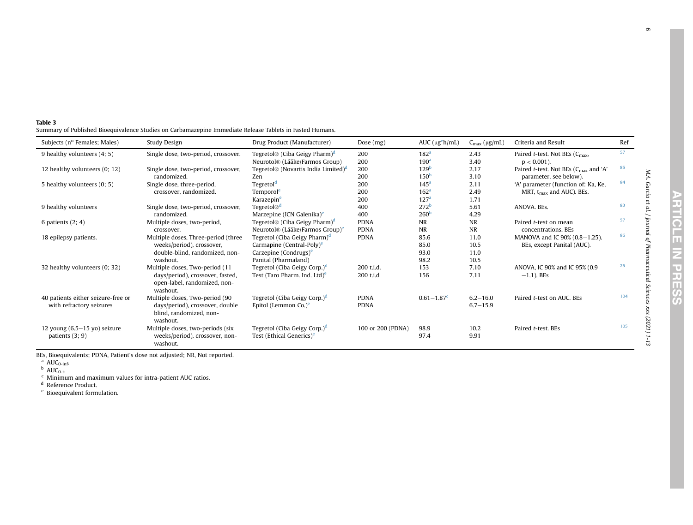<span id="page-5-5"></span><span id="page-5-4"></span><span id="page-5-3"></span><span id="page-5-2"></span><span id="page-5-1"></span>M.A. García et al. / Journal of Pharmaceutical Sciences xxx (2021) 1-13

M.A. García et al. / Journal of Pharmaceutical Sciences xxx (2021) 1-13

<span id="page-5-0"></span>Table 3Summary of Published Bioequivalence Studies on Carbamazepine Immediate Release Tablets in Fasted Humans.

| Subjects (nº Females; Males)       | Study Design                        | Drug Product (Manufacturer)                                                 | Dose (mg)         | $AUC$ ( $\mu$ g <sup>e</sup> h/mL)   | $C_{\text{max}}$ (µg/mL) | Criteria and Result                                              | Ref |
|------------------------------------|-------------------------------------|-----------------------------------------------------------------------------|-------------------|--------------------------------------|--------------------------|------------------------------------------------------------------|-----|
| 9 healthy volunteers (4; 5)        | Single dose, two-period, crossover. | Tegretol® (Ciba Geigy Pharm) <sup>d</sup><br>Neurotol® (Lääke/Farmos Group) | 200<br>200        | 182 <sup>a</sup><br>190 <sup>a</sup> | 2.43<br>3.40             | Paired $t$ -test. Not BEs ( $C_{\text{max}}$ ,<br>$p < 0.001$ ). | 57  |
| 12 healthy volunteers (0; 12)      | Single dose, two-period, crossover, | Tegretol® (Novartis India Limited) <sup>d</sup>                             | 200               | 129 <sup>b</sup>                     | 2.17                     | Paired <i>t</i> -test. Not BEs ( $C_{\text{max}}$ and 'A'        | 85  |
|                                    | randomized.                         | Zen                                                                         | 200               | 150 <sup>b</sup>                     | 3.10                     | parameter, see below).                                           |     |
| 5 healthy volunteers (0; 5)        | Single dose, three-period,          | Tegretol <sup>d</sup>                                                       | 200               | 145 <sup>a</sup>                     | 2.11                     | 'A' parameter (function of: Ka, Ke,                              | 84  |
|                                    | crossover, randomized.              | Temporol <sup>e</sup>                                                       | 200               | 162 <sup>a</sup>                     | 2.49                     | MRT, $t_{max}$ and AUC). BEs.                                    |     |
|                                    |                                     | Karazepin <sup>e</sup>                                                      | 200               | 127 <sup>a</sup>                     | 1.71                     |                                                                  |     |
| 9 healthy volunteers               | Single dose, two-period, crossover, | Tegretol <sup>®d</sup>                                                      | 400               | 272 <sup>b</sup>                     | 5.61                     | ANOVA. BEs.                                                      | 83  |
|                                    | randomized.                         | Marzepine (ICN Galenika) <sup>e</sup>                                       | 400               | 260 <sup>b</sup>                     | 4.29                     |                                                                  |     |
| 6 patients $(2; 4)$                | Multiple doses, two-period,         | Tegretol® (Ciba Geigy Pharm) <sup>d</sup>                                   | <b>PDNA</b>       | NR                                   | <b>NR</b>                | Paired t-test on mean                                            | 57  |
|                                    | crossover.                          | Neurotol® (Lääke/Farmos Group) <sup>e</sup>                                 | <b>PDNA</b>       | <b>NR</b>                            | <b>NR</b>                | concentrations. BEs                                              |     |
| 18 epilepsy patients.              | Multiple doses, Three-period (three | Tegretol (Ciba Geigy Pharm) <sup>d</sup>                                    | <b>PDNA</b>       | 85.6                                 | 11.0                     | MANOVA and IC 90% (0.8-1.25).                                    | 86  |
|                                    | weeks/period), crossover,           | Carmapine (Central-Poly) <sup>e</sup>                                       |                   | 85.0                                 | 10.5                     | BEs, except Panital (AUC).                                       |     |
|                                    | double-blind, randomized, non-      | Carzepine (Condrugs) <sup>e</sup>                                           |                   | 93.0                                 | 11.0                     |                                                                  |     |
|                                    | washout.                            | Panital (Pharmaland)                                                        |                   | 98.2                                 | 10.5                     |                                                                  |     |
| 32 healthy volunteers (0; 32)      | Multiple doses, Two-period (11      | Tegretol (Ciba Geigy Corp.) <sup>d</sup>                                    | 200 t.i.d.        | 153                                  | 7.10                     | ANOVA, IC 90% and IC 95% (0.9                                    | 25  |
|                                    | days/period), crossover, fasted,    | Test (Taro Pharm, Ind, Ltd) <sup>e</sup>                                    | 200 t.i.d         | 156                                  | 7.11                     | $-1.1$ ). BEs                                                    |     |
|                                    | open-label, randomized, non-        |                                                                             |                   |                                      |                          |                                                                  |     |
|                                    | washout.                            |                                                                             |                   |                                      |                          |                                                                  |     |
| 40 patients either seizure-free or | Multiple doses, Two-period (90      | Tegretol (Ciba Geigy Corp.) <sup>d</sup>                                    | <b>PDNA</b>       | $0.61 - 1.87$ <sup>c</sup>           | $6.2 - 16.0$             | Paired t-test on AUC. BEs                                        | 104 |
| with refractory seizures           | days/period), crossover, double     | Epitol (Lemmon Co.) <sup>e</sup>                                            | <b>PDNA</b>       |                                      | $6.7 - 15.9$             |                                                                  |     |
|                                    | blind, randomized, non-             |                                                                             |                   |                                      |                          |                                                                  |     |
|                                    | washout.                            |                                                                             |                   |                                      |                          |                                                                  | 105 |
| 12 young $(6.5-15$ yo) seizure     | Multiple doses, two-periods (six    | Tegretol (Ciba Geigy Corp.) <sup>d</sup>                                    | 100 or 200 (PDNA) | 98.9                                 | 10.2                     | Paired t-test. BEs                                               |     |
| patients $(3, 9)$                  | weeks/period), crossover, non-      | Test (Ethical Generics) <sup>e</sup>                                        |                   | 97.4                                 | 9.91                     |                                                                  |     |
|                                    | washout.                            |                                                                             |                   |                                      |                          |                                                                  |     |

BEs, Bioequivalents; PDNA, Patient's dose not adjusted; NR, Not reported.<br><sup>a</sup> AUC<sub>0-inf</sub>.<br><sup>b</sup> AUC<sub>0-t</sub>.

<sup>c</sup> Minimum and maximum values for intra-patient AUC ratios.<br><sup>d</sup> Reference Product.

e Bioequivalent formulation.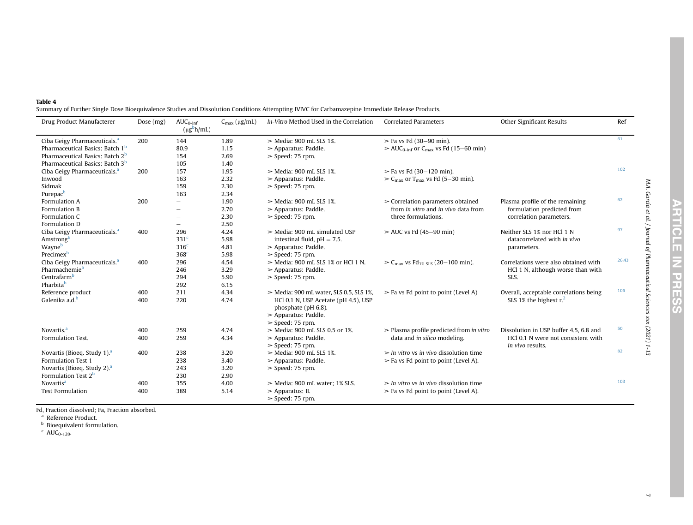<span id="page-6-0"></span>

| Table 4                                                                                                                                         |
|-------------------------------------------------------------------------------------------------------------------------------------------------|
| Summary of Further Single Dose Bioequivalence Studies and Dissolution Conditions Attempting IVIVC for Carbamazepine Immediate Release Products. |

| Drug Product Manufacterer                   | Dose $(mg)$ | $AUC_{0\text{-inf}}$<br>$(\mu g^b h/mL)$ | $C_{\text{max}}$ (µg/mL) | In-Vitro Method Used in the Correlation                                                                        | <b>Correlated Parameters</b>                                      | Other Significant Results              | Ref   |
|---------------------------------------------|-------------|------------------------------------------|--------------------------|----------------------------------------------------------------------------------------------------------------|-------------------------------------------------------------------|----------------------------------------|-------|
| Ciba Geigy Pharmaceuticals. <sup>a</sup>    | 200         | 144                                      | 1.89                     | $>$ Media: 900 mL SLS 1%.                                                                                      | $>$ Fa vs Fd (30-90 min).                                         |                                        | 61    |
| Pharmaceutical Basics: Batch 1 <sup>b</sup> |             | 80.9                                     | 1.15                     | $\geq$ Apparatus: Paddle.                                                                                      | $\geq$ AUC <sub>0-inf</sub> or C <sub>max</sub> vs Fd (15–60 min) |                                        |       |
| Pharmaceutical Basics: Batch 2 <sup>b</sup> |             | 154                                      | 2.69                     | $>$ Speed: 75 rpm.                                                                                             |                                                                   |                                        |       |
| Pharmaceutical Basics: Batch 3 <sup>b</sup> |             | 105                                      | 1.40                     |                                                                                                                |                                                                   |                                        |       |
| Ciba Geigy Pharmaceuticals. <sup>a</sup>    | 200         | 157                                      | 1.95                     | $\geq$ Media: 900 mL SLS 1%.                                                                                   | $>$ Fa vs Fd (30-120 min).                                        |                                        | 102   |
| Inwood                                      |             | 163                                      | 2.32                     | $\triangleright$ Apparatus: Paddle.                                                                            | $\geq C_{\text{max}}$ or T <sub>max</sub> vs Fd (5–30 min).       |                                        |       |
| Sidmak                                      |             | 159                                      | 2.30                     | $>$ Speed: 75 rpm.                                                                                             |                                                                   |                                        |       |
| Purepac <sup>b</sup>                        |             | 163                                      | 2.34                     |                                                                                                                |                                                                   |                                        |       |
| Formulation A                               | 200         |                                          | 1.90                     | $>$ Media: 900 mL SLS 1%.                                                                                      | $\geq$ Correlation parameters obtained                            | Plasma profile of the remaining        | 62    |
| Formulation B                               |             |                                          | 2.70                     | $\geq$ Apparatus: Paddle.                                                                                      | from in vitro and in vivo data from                               | formulation predicted from             |       |
| Formulation C                               |             |                                          | 2.30                     | $>$ Speed: 75 rpm.                                                                                             | three formulations.                                               | correlation parameters.                |       |
| Formulation D                               |             |                                          | 2.50                     |                                                                                                                |                                                                   |                                        |       |
| Ciba Geigy Pharmaceuticals. <sup>a</sup>    | 400         | 296                                      | 4.24                     | $>$ Media: 900 mL simulated USP                                                                                | $\geq$ AUC vs Fd (45–90 min)                                      | Neither SLS 1% nor HCl 1 N             | 97    |
| Amstrongb                                   |             | 331 <sup>c</sup>                         | 5.98                     | intestinal fluid, $pH = 7.5$ .                                                                                 |                                                                   | datacorrelated with in vivo            |       |
| Wayne <sup>b</sup>                          |             | 316 <sup>c</sup>                         | 4.81                     | $\geq$ Apparatus: Paddle.                                                                                      |                                                                   | parameters.                            |       |
| Precimex <sup>b</sup>                       |             | 368 <sup>c</sup>                         | 5.98                     | $>$ Speed: 75 rpm.                                                                                             |                                                                   |                                        |       |
| Ciba Geigy Pharmaceuticals. <sup>a</sup>    | 400         | 296                                      | 4.54                     | $>$ Media: 900 mL SLS 1% or HCl 1 N.                                                                           | $> C_{\text{max}}$ vs Fd <sub>1% SLS</sub> (20-100 min).          | Correlations were also obtained with   | 26,43 |
| Pharmachemieb                               |             | 246                                      | 3.29                     | $\triangleright$ Apparatus: Paddle.                                                                            |                                                                   | HCl 1 N, although worse than with      |       |
| Centrafarm <sup>b</sup>                     |             | 294                                      | 5.90                     | $>$ Speed: 75 rpm.                                                                                             |                                                                   | SLS.                                   |       |
| Pharbitab                                   |             | 292                                      | 6.15                     |                                                                                                                |                                                                   |                                        |       |
| Reference product                           | 400         | 211                                      | 4.34                     | $>$ Media: 900 mL water, SLS 0.5, SLS 1%,                                                                      | $\triangleright$ Fa vs Fd point to point (Level A)                | Overall, acceptable correlations being | 106   |
| Galenika a.d. <sup>b</sup>                  | 400         | 220                                      | 4.74                     | HCl 0.1 N, USP Acetate (pH 4.5), USP<br>phosphate (pH 6.8).<br>$\geq$ Apparatus: Paddle.<br>$>$ Speed: 75 rpm. |                                                                   | SLS 1% the highest $r12$               |       |
| Novartis. <sup>a</sup>                      | 400         | 259                                      | 4.74                     | $>$ Media: 900 mL SLS 0.5 or 1%.                                                                               | $\geq$ Plasma profile predicted from in vitro                     | Dissolution in USP buffer 4.5, 6.8 and | 50    |
| Formulation Test.                           | 400         | 259                                      | 4.34                     | $\geq$ Apparatus: Paddle.                                                                                      | data and in silico modeling.                                      | HCl 0.1 N were not consistent with     |       |
|                                             |             |                                          |                          | $>$ Speed: 75 rpm.                                                                                             |                                                                   | <i>in vivo</i> results.                |       |
| Novartis (Bioeq. Study 1). <sup>a</sup>     | 400         | 238                                      | 3.20                     | $>$ Media: 900 mL SLS 1%.                                                                                      | $>$ In vitro vs in vivo dissolution time                          |                                        | 82    |
| Formulation Test 1                          |             | 238                                      | 3.40                     | $\geq$ Apparatus: Paddle.                                                                                      | $\triangleright$ Fa vs Fd point to point (Level A).               |                                        |       |
| Novartis (Bioeg, Study 2). <sup>a</sup>     |             | 243                                      | 3.20                     | $>$ Speed: 75 rpm.                                                                                             |                                                                   |                                        |       |
| Formulation Test 2 <sup>b</sup>             |             | 230                                      | 2.90                     |                                                                                                                |                                                                   |                                        |       |
| Novartis <sup>a</sup>                       | 400         | 355                                      | 4.00                     | $>$ Media: 900 mL water: 1% SLS.                                                                               | $>$ In vitro vs in vivo dissolution time                          |                                        | 103   |
| <b>Test Formulation</b>                     | 400         | 389                                      | 5.14                     | $\geq$ Apparatus: II.<br>$>$ Speed: 75 rpm.                                                                    | $\triangleright$ Fa vs Fd point to point (Level A).               |                                        |       |

Fd, Fraction dissolved; Fa, Fraction absorbed.<br><sup>a</sup> Reference Product.<br><sup>b</sup> Bioequivalent formulation.<br><sup>c</sup> AUC<sub>0-120</sub>.

<span id="page-6-3"></span><span id="page-6-2"></span><span id="page-6-1"></span>M.A. García et al. / Journal of Pharmaceutical Sciences xxx (2021) 1-13

M.A. García et al. / Journal of Pharmaceutical Sciences xxx (2021) 1-13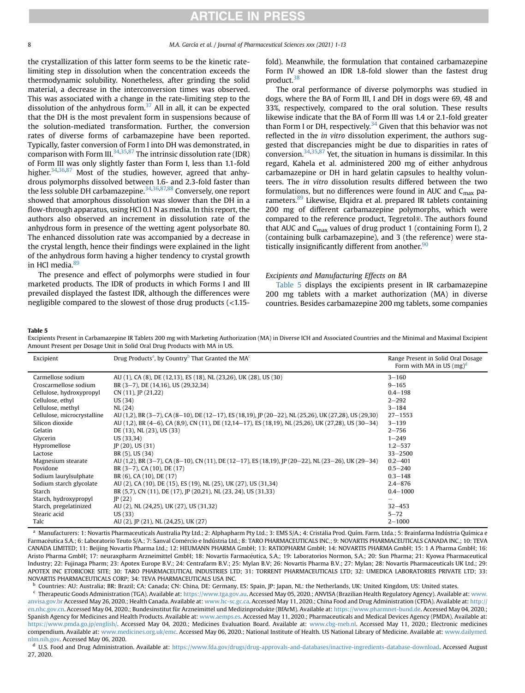8 M.A. García et al. / Journal of Pharmaceutical Sciences xxx (2021) 1-13

the crystallization of this latter form seems to be the kinetic ratelimiting step in dissolution when the concentration exceeds the thermodynamic solubility. Nonetheless, after grinding the solid material, a decrease in the interconversion times was observed. This was associated with a change in the rate-limiting step to the dissolution of the anhydrous form. $37$  All in all, it can be expected that the DH is the most prevalent form in suspensions because of the solution-mediated transformation. Further, the conversion rates of diverse forms of carbamazepine have been reported. Typically, faster conversion of Form I into DH was demonstrated, in comparison with Form III. $34,35,87$  $34,35,87$  $34,35,87$  The intrinsic dissolution rate (IDR) of Form III was only slightly faster than Form I, less than 1.1-fold higher.<sup>[34,](#page-11-29)[36](#page-11-31),[87](#page-12-42)</sup> Most of the studies, however, agreed that anhydrous polymorphs dissolved between 1.6- and 2.3-fold faster than the less soluble DH carbamazepine.<sup>[34](#page-11-29),[36,](#page-11-31)[87,](#page-12-42)[88](#page-12-43)</sup> Conversely, one report showed that amorphous dissolution was slower than the DH in a flow-through apparatus, using HCl 0.1 N as media. In this report, the authors also observed an increment in dissolution rate of the anhydrous form in presence of the wetting agent polysorbate 80. The enhanced dissolution rate was accompanied by a decrease in the crystal length, hence their findings were explained in the light of the anhydrous form having a higher tendency to crystal growth in HCl media.<sup>[89](#page-12-44)</sup>

The presence and effect of polymorphs were studied in four marketed products. The IDR of products in which Forms I and III prevailed displayed the fastest IDR, although the differences were negligible compared to the slowest of those drug products (<1.15fold). Meanwhile, the formulation that contained carbamazepine Form IV showed an IDR 1.8-fold slower than the fastest drug product.<sup>[38](#page-11-33)</sup>

The oral performance of diverse polymorphs was studied in dogs, where the BA of Form III, I and DH in dogs were 69, 48 and 33%, respectively, compared to the oral solution. These results likewise indicate that the BA of Form III was 1.4 or 2.1-fold greater than Form I or DH, respectively.<sup>[34](#page-11-29)</sup> Given that this behavior was not reflected in the in vitro dissolution experiment, the authors suggested that discrepancies might be due to disparities in rates of conversion.  $34,35,87$  $34,35,87$  $34,35,87$  $34,35,87$  Yet, the situation in humans is dissimilar. In this regard, Kahela et al. administered 200 mg of either anhydrous carbamazepine or DH in hard gelatin capsules to healthy volunteers. The in vitro dissolution results differed between the two formulations, but no differences were found in AUC and  $C_{\text{max}}$  parameters.<sup>89</sup> Likewise, Elqidra et al. prepared IR tablets containing 200 mg of different carbamazepine polymorphs, which were compared to the reference product, Tegretol®. The authors found that AUC and  $C_{\text{max}}$  values of drug product 1 (containing Form I), 2 (containing bulk carbamazepine), and 3 (the reference) were statistically insignificantly different from another. $90$ 

#### Excipients and Manufacturing Effects on BA

[Table 5](#page-7-0) displays the excipients present in IR carbamazepine 200 mg tablets with a market authorization (MA) in diverse countries. Besides carbamazepine 200 mg tablets, some companies

#### <span id="page-7-0"></span>Table 5

Excipients Present in Carbamazepine IR Tablets 200 mg with Marketing Authorization (MA) in Diverse ICH and Associated Countries and the Minimal and Maximal Excipient Amount Present per Dosage Unit in Solid Oral Drug Products with MA in US.

| Excipient                   | Drug Products <sup>a</sup> , by Country <sup>b</sup> That Granted the MA <sup>c</sup>                 | Range Present in Solid Oral Dosage<br>Form with MA in US $(mg)^d$ |
|-----------------------------|-------------------------------------------------------------------------------------------------------|-------------------------------------------------------------------|
| Carmellose sodium           | AU (1), CA (8), DE (12,13), ES (18), NL (23,26), UK (28), US (30)                                     | $3 - 160$                                                         |
| Croscarmellose sodium       | BR (3-7), DE (14,16), US (29,32,34)                                                                   | $9 - 165$                                                         |
| Cellulose, hydroxypropyl    | $CN (11)$ , $IP (21,22)$                                                                              | $0.4 - 198$                                                       |
| Cellulose, ethyl            | US (34)                                                                                               | $2 - 292$                                                         |
| Cellulose, methyl           | NL(24)                                                                                                | $3 - 184$                                                         |
| Cellulose, microcrystalline | AU (1,2), BR (3-7), CA (8-10), DE (12-17), ES (18,19), JP (20-22), NL (25,26), UK (27,28), US (29,30) | $27 - 1553$                                                       |
| Silicon dioxide             | AU (1,2), BR (4–6), CA (8,9), CN (11), DE (12,14–17), ES (18,19), NL (25,26), UK (27,28), US (30–34)  | $3 - 139$                                                         |
| Gelatin                     | DE (13), NL (23), US (33)                                                                             | $2 - 756$                                                         |
| Glycerin                    | US (33,34)                                                                                            | $1 - 249$                                                         |
| Hypromellose                | $IP(20)$ , US $(31)$                                                                                  | $1.2 - 537$                                                       |
| Lactose                     | BR (5), US (34)                                                                                       | $33 - 2500$                                                       |
| Magnesium stearate          | AU (1,2), BR (3-7), CA (8-10), CN (11), DE (12-17), ES (18,19), JP (20-22), NL (23-26), UK (29-34)    | $0.2 - 401$                                                       |
| Povidone                    | BR $(3-7)$ , CA $(10)$ , DE $(17)$                                                                    | $0.5 - 240$                                                       |
| Sodium laurylsulphate       | BR (6), CA (10), DE (17)                                                                              | $0.3 - 148$                                                       |
| Sodium starch glycolate     | AU (2), CA (10), DE (15), ES (19), NL (25), UK (27), US (31,34)                                       | $2.4 - 876$                                                       |
| Starch                      | BR (5,7), CN (11), DE (17), JP (20,21), NL (23, 24), US (31,33)                                       | $0.4 - 1000$                                                      |
| Starch, hydroxypropyl       | IP(22)                                                                                                |                                                                   |
| Starch, pregelatinized      | AU (2), NL (24,25), UK (27), US (31,32)                                                               | $32 - 453$                                                        |
| Stearic acid                | US (33)                                                                                               | $5 - 72$                                                          |
| Talc                        | AU (2), IP (21), NL (24,25), UK (27)                                                                  | $2 - 1000$                                                        |

<span id="page-7-1"></span>a Manufacturers: 1: Novartis Pharmaceuticals Australia Pty Ltd.; 2: Alphapharm Pty Ltd.; 3: EMS S/A.; 4: Cristália Prod. Quím. Farm. Ltda.; 5: Brainfarma Indústria Química e Farmacêutica S.A.; 6: Laboratorio Teuto S/A.; 7: Sanval Comércio e Indústria Ltd.; 8: TARO PHARMACEUTICALS INC.; 9: NOVARTIS PHARMACEUTICALS CANADA INC.; 10: TEVA CANADA LIMITED; 11: Beijing Novartis Pharma Ltd.; 12: HEUMANN PHARMA GmbH; 13: RATIOPHARM GmbH; 14: NOVARTIS PHARMA GmbH; 15: 1 A Pharma GmbH; 16: Aristo Pharma GmbH; 17: neuraxpharm Arzneimittel GmbH; 18: Novartis Farmacéutica, S.A.; 19: Laboratorios Normon, S.A.; 20: Sun Pharma; 21: Kyowa Pharmaceutical Industry; 22: Fujinaga Pharm; 23: Apotex Europe B.V.; 24: Centrafarm B.V.; 25: Mylan B.V; 26: Novartis Pharma B.V.; 27: Mylan; 28: Novartis Pharmaceuticals UK Ltd.; 29: APOTEX INC ETOBICOKE SITE; 30: TARO PHARMACEUTICAL INDUSTRIES LTD; 31: TORRENT PHARMACEUTICALS LTD; 32: UMEDICA LABORATORIES PRIVATE LTD; 33: NOVARTIS PHARMACEUTICALS CORP; 34: TEVA PHARMACEUTICALS USA INC.

<span id="page-7-2"></span><sup>b</sup> Countries: AU: Australia; BR: Brazil; CA: Canada; CN: China, DE: Germany, ES: Spain, JP: Japan, NL: the Netherlands, UK: United Kingdom, US: United states.

<span id="page-7-3"></span><sup>c</sup> Therapeutic Goods Administration (TGA). Available at: <https://www.tga.gov.au>. Accessed May 05, 2020.; ANVISA (Brazilian Health Regulatory Agency). Available at: [www.](http://www.anvisa.gov.br) [anvisa.gov.br](http://www.anvisa.gov.br) Accessed May 26, 2020.; Health Canada. Available at: [www.hc-sc.gc.ca.](http://www.hc-sc.gc.ca) Accessed May 11, 2020.; China Food and Drug Administration (CFDA). Available at: [http://](http://en.nhc.gov.cn) [en.nhc.gov.cn.](http://en.nhc.gov.cn) Accessed May 04, 2020.; Bundesinstitut für Arzneimittel und Medizinprodukte (BfArM). Available at: [https://www.pharmnet-bund.de.](https://www.pharmnet-bund.de) Accessed May 04, 2020.; Spanish Agency for Medicines and Health Products. Available at: [www.aemps.es](http://www.aemps.es). Accessed May 11, 2020.; Pharmaceuticals and Medical Devices Agency (PMDA). Available at: [https://www.pmda.go.jp/english/.](https://www.pmda.go.jp/english/) Accessed May 04, 2020.; Medicines Evaluation Board. Available at: [www.cbg-meb.nl.](http://www.cbg-meb.nl) Accessed May 11, 2020.; Electronic medicines compendium. Available at: [www.medicines.org.uk/emc](http://www.medicines.org.uk/emc). Accessed May 06, 2020.; National Institute of Health. US National Library of Medicine. Available at: [www.dailymed.](http://www.dailymed.nlm.nih.gov) [nlm.nih.gov](http://www.dailymed.nlm.nih.gov). Accessed May 06, 2020.

<span id="page-7-4"></span><sup>d</sup> U.S. Food and Drug Administration. Available at: <https://www.fda.gov/drugs/drug-approvals-and-databases/inactive-ingredients-database-download>. Accessed August 27, 2020.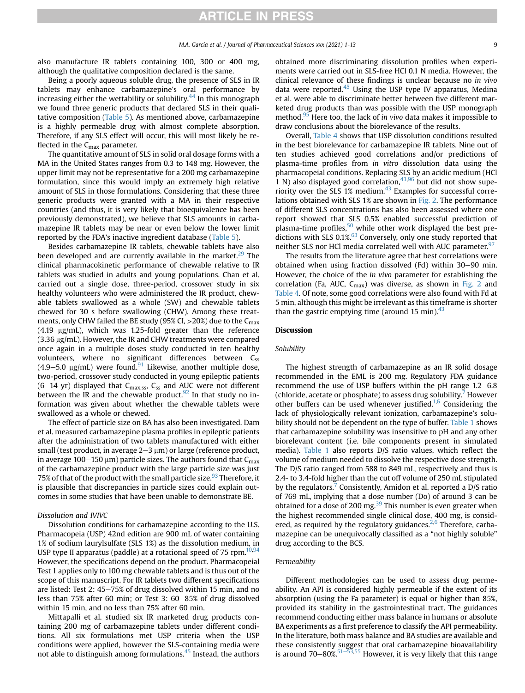also manufacture IR tablets containing 100, 300 or 400 mg, although the qualitative composition declared is the same.

Being a poorly aqueous soluble drug, the presence of SLS in IR tablets may enhance carbamazepine's oral performance by increasing either the wettability or solubility.[44](#page-11-35) In this monograph we found three generic products that declared SLS in their qualitative composition [\(Table 5](#page-7-0)). As mentioned above, carbamazepine is a highly permeable drug with almost complete absorption. Therefore, if any SLS effect will occur, this will most likely be reflected in the  $C_{\text{max}}$  parameter.

The quantitative amount of SLS in solid oral dosage forms with a MA in the United States ranges from 0.3 to 148 mg. However, the upper limit may not be representative for a 200 mg carbamazepine formulation, since this would imply an extremely high relative amount of SLS in those formulations. Considering that these three generic products were granted with a MA in their respective countries (and thus, it is very likely that bioequivalence has been previously demonstrated), we believe that SLS amounts in carbamazepine IR tablets may be near or even below the lower limit reported by the FDA's inactive ingredient database ([Table 5\)](#page-7-0).

Besides carbamazepine IR tablets, chewable tablets have also been developed and are currently available in the market. $29$  The clinical pharmacokinetic performance of chewable relative to IR tablets was studied in adults and young populations. Chan et al. carried out a single dose, three-period, crossover study in six healthy volunteers who were administered the IR product, chewable tablets swallowed as a whole (SW) and chewable tablets chewed for 30 s before swallowing (CHW). Among these treatments, only CHW failed the BE study (95% CI,  $>$  20%) due to the C<sub>max</sub>  $(4.19 \text{ µg/mL})$ , which was 1.25-fold greater than the reference  $(3.36 \,\mu g/mL)$ . However, the IR and CHW treatments were compared once again in a multiple doses study conducted in ten healthy volunteers, where no significant differences between  $C_{ss}$ (4.9–5.0  $\mu$ g/mL) were found.<sup>[91](#page-12-46)</sup> Likewise, another multiple dose, two-period, crossover study conducted in young epileptic patients (6-14 yr) displayed that  $C_{\text{max,ss}}$ ,  $C_{\text{ss}}$  and AUC were not different between the IR and the chewable product.<sup>[92](#page-12-47)</sup> In that study no information was given about whether the chewable tablets were swallowed as a whole or chewed.

The effect of particle size on BA has also been investigated. Dam et al. measured carbamazepine plasma profiles in epileptic patients after the administration of two tablets manufactured with either small (test product, in average  $2-3 \mu m$ ) or large (reference product, in average 100–150  $\mu$ m) particle sizes. The authors found that C<sub>max</sub> of the carbamazepine product with the large particle size was just 75% of that of the product with the small particle size.<sup>[93](#page-12-48)</sup> Therefore, it is plausible that discrepancies in particle sizes could explain outcomes in some studies that have been unable to demonstrate BE.

### Dissolution and IVIVC

Dissolution conditions for carbamazepine according to the U.S. Pharmacopeia (USP) 42nd edition are 900 mL of water containing 1% of sodium laurylsulfate (SLS 1%) as the dissolution medium, in USP type II apparatus (paddle) at a rotational speed of 75 rpm. $10,94$  $10,94$ However, the specifications depend on the product. Pharmacopeial Test 1 applies only to 100 mg chewable tablets and is thus out of the scope of this manuscript. For IR tablets two different specifications are listed: Test 2:  $45-75%$  of drug dissolved within 15 min, and no less than  $75\%$  after 60 min; or Test 3:  $60-85\%$  of drug dissolved within 15 min, and no less than 75% after 60 min.

Mittapalli et al. studied six IR marketed drug products containing 200 mg of carbamazepine tablets under different conditions. All six formulations met USP criteria when the USP conditions were applied, however the SLS-containing media were not able to distinguish among formulations.<sup>[45](#page-11-53)</sup> Instead, the authors

obtained more discriminating dissolution profiles when experiments were carried out in SLS-free HCl 0.1 N media. However, the clinical relevance of these findings is unclear because no in vivo data were reported. $45$  Using the USP type IV apparatus, Medina et al. were able to discriminate better between five different marketed drug products than was possible with the USP monograph method.<sup>[95](#page-12-50)</sup> Here too, the lack of *in vivo* data makes it impossible to draw conclusions about the biorelevance of the results.

Overall, [Table 4](#page-6-0) shows that USP dissolution conditions resulted in the best biorelevance for carbamazepine IR tablets. Nine out of ten studies achieved good correlations and/or predictions of plasma-time profiles from in vitro dissolution data using the pharmacopeial conditions. Replacing SLS by an acidic medium (HCl 1 N) also displayed good correlation,  $43,96$  $43,96$  $43,96$  but did not show superiority over the SLS 1% medium. $43$  Examples for successful correlations obtained with SLS 1% are shown in [Fig. 2.](#page-9-0) The performance of different SLS concentrations has also been assessed where one report showed that SLS 0.5% enabled successful prediction of plasma-time profiles, $50$  while other work displayed the best pre- $\det$  dictions with SLS 0.1%.<sup>[63](#page-12-8)</sup> Conversely, only one study reported that neither SLS nor HCl media correlated well with AUC parameter.<sup>[97](#page-12-52)</sup>

The results from the literature agree that best correlations were obtained when using fraction dissolved (Fd) within  $30-90$  min. However, the choice of the in vivo parameter for establishing the correlation (Fa, AUC,  $C_{\text{max}}$ ) was diverse, as shown in [Fig. 2](#page-9-0) and [Table 4](#page-6-0). Of note, some good correlations were also found with Fd at 5 min, although this might be irrelevant as this timeframe is shorter than the gastric emptying time (around 15 min). $43$ 

### **Discussion**

#### Solubility

The highest strength of carbamazepine as an IR solid dosage recommended in the EML is 200 mg. Regulatory FDA guidance recommend the use of USP buffers within the pH range  $1.2-6.8$ (chloride, acetate or phosphate) to assess drug solubility.<sup>7</sup> However other buffers can be used whenever justified.<sup>1[,6](#page-11-3)</sup> Considering the lack of physiologically relevant ionization, carbamazepine's solu-bility should not be dependent on the type of buffer. [Table 1](#page-2-0) shows that carbamazepine solubility was insensitive to pH and any other biorelevant content (i.e. bile components present in simulated media). [Table 1](#page-2-0) also reports D/S ratio values, which reflect the volume of medium needed to dissolve the respective dose strength. The D/S ratio ranged from 588 to 849 mL, respectively and thus is 2.4- to 3.4-fold higher than the cut off volume of 250 mL stipulated by the regulators.<sup>[7](#page-11-54)</sup> Consistently, Amidon et al. reported a  $D/S$  ratio of 769 mL, implying that a dose number (Do) of around 3 can be obtained for a dose of 200 mg $^{39}$  $^{39}$  $^{39}$  This number is even greater when the highest recommended single clinical dose, 400 mg, is considered, as required by the regulatory guidances. $2,6$  $2,6$  Therefore, carbamazepine can be unequivocally classified as a "not highly soluble" drug according to the BCS.

### Permeability

Different methodologies can be used to assess drug permeability. An API is considered highly permeable if the extent of its absorption (using the Fa parameter) is equal or higher than 85%, provided its stability in the gastrointestinal tract. The guidances recommend conducting either mass balance in humans or absolute BA experiments as a first preference to classify the API permeability. In the literature, both mass balance and BA studies are available and these consistently suggest that oral carbamazepine bioavailability is around 70–80%.<sup>[51](#page-11-44)–[53,](#page-11-44)[55](#page-12-0)</sup> However, it is very likely that this range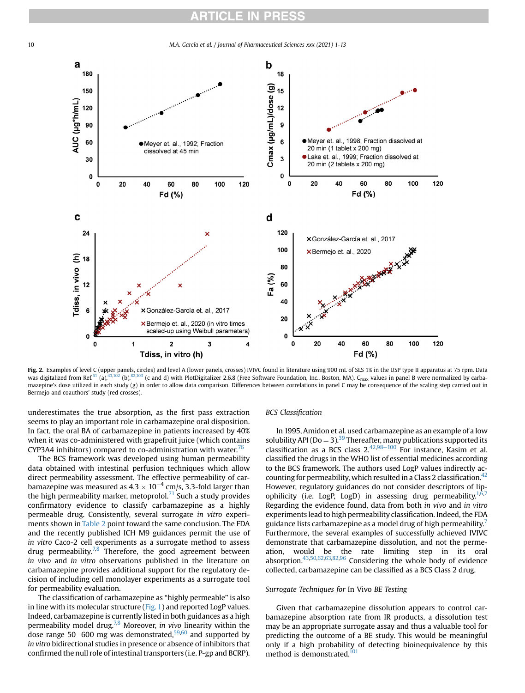<span id="page-9-0"></span>10 M.A. García et al. / Journal of Pharmaceutical Sciences xxx (2021) 1-13



**Fig. 2.** Examples of level C (upper panels, circles) and level A (lower panels, crosses) IVIVC found in literature using 900 mL of SLS 1% in the USP type II apparatus at 75 rpm. Data<br>was digitalized from Ref.<sup>[61](#page-12-6)</sup> (a),<sup>[43](#page-11-37),</sup> mazepine's dose utilized in each study (g) in order to allow data comparison. Differences between correlations in panel C may be consequence of the scaling step carried out in Bermejo and coauthors' study (red crosses).

underestimates the true absorption, as the first pass extraction seems to play an important role in carbamazepine oral disposition. In fact, the oral BA of carbamazepine in patients increased by 40% when it was co-administered with grapefruit juice (which contains CYP3A4 inhibitors) compared to co-administration with water. $\frac{76}{6}$ 

The BCS framework was developed using human permeability data obtained with intestinal perfusion techniques which allow direct permeability assessment. The effective permeability of carbamazepine was measured as  $4.3 \times 10^{-4}$  cm/s, 3.3-fold larger than the high permeability marker, metoprolol.<sup>[71](#page-12-10)</sup> Such a study provides confirmatory evidence to classify carbamazepine as a highly permeable drug. Consistently, several surrogate in vitro experiments shown in [Table 2](#page-4-1) point toward the same conclusion. The FDA and the recently published ICH M9 guidances permit the use of in vitro Caco-2 cell experiments as a surrogate method to assess drug permeability.<sup>[7,](#page-11-54)[8](#page-11-55)</sup> Therefore, the good agreement between in vivo and in vitro observations published in the literature on carbamazepine provides additional support for the regulatory decision of including cell monolayer experiments as a surrogate tool for permeability evaluation.

The classification of carbamazepine as "highly permeable" is also in line with its molecular structure  $(Fig, 1)$  and reported LogP values. Indeed, carbamazepine is currently listed in both guidances as a high permeability model drug.<sup>7,[8](#page-11-55)</sup> Moreover, *in vivo* linearity within the dose range 50–[60](#page-12-5)0 mg was demonstrated, $59,60$  and supported by in vitro bidirectional studies in presence or absence of inhibitors that confirmed the null role of intestinal transporters (i.e. P-gp and BCRP).

#### BCS Classification

In 1995, Amidon et al. used carbamazepine as an example of a low solubility API ( $Do = 3$ ).<sup>39</sup> Thereafter, many publications supported its classification as a BCS class  $2.\frac{42,98-100}{8}$  $2.\frac{42,98-100}{8}$  $2.\frac{42,98-100}{8}$  $2.\frac{42,98-100}{8}$  $2.\frac{42,98-100}{8}$  For instance, Kasim et al. classified the drugs in the WHO list of essential medicines according to the BCS framework. The authors used LogP values indirectly ac-counting for permeability, which resulted in a Class 2 classification.<sup>[42](#page-11-40)</sup> However, regulatory guidances do not consider descriptors of lipophilicity (i.e. LogP, LogD) in assessing drug permeability.<sup>1, $\bar{6}$ ,[7](#page-11-54)</sup> Regarding the evidence found, data from both in vivo and in vitro experiments lead to high permeability classification. Indeed, the FDA guidance lists carbamazepine as a model drug of high permeability.<sup>7</sup> Furthermore, the several examples of successfully achieved IVIVC demonstrate that carbamazepine dissolution, and not the permeation, would be the rate limiting step in its oral absorption[.43](#page-11-37),[50](#page-11-43)[,62](#page-12-7),[63,](#page-12-8)[82](#page-12-18)[,96](#page-12-51) Considering the whole body of evidence collected, carbamazepine can be classified as a BCS Class 2 drug.

#### Surrogate Techniques for In Vivo BE Testing

Given that carbamazepine dissolution appears to control carbamazepine absorption rate from IR products, a dissolution test may be an appropriate surrogate assay and thus a valuable tool for predicting the outcome of a BE study. This would be meaningful only if a high probability of detecting bioinequivalence by this method is demonstrated.<sup>[101](#page-12-54)</sup>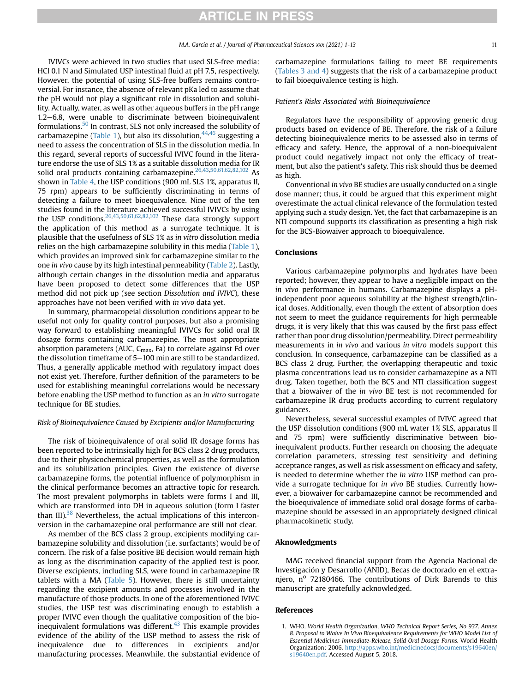IVIVCs were achieved in two studies that used SLS-free media: HCl 0.1 N and Simulated USP intestinal fluid at pH 7.5, respectively. However, the potential of using SLS-free buffers remains controversial. For instance, the absence of relevant pKa led to assume that the pH would not play a significant role in dissolution and solubility. Actually, water, as well as other aqueous buffers in the pH range  $1.2-6.8$ , were unable to discriminate between bioinequivalent formulations.[50](#page-11-43) In contrast, SLS not only increased the solubility of carbamazepine [\(Table 1\)](#page-2-0), but also its dissolution,  $44,46$  $44,46$  suggesting a need to assess the concentration of SLS in the dissolution media. In this regard, several reports of successful IVIVC found in the literature endorse the use of SLS 1% as a suitable dissolution media for IR solid oral products containing carbamazepine.<sup>[26](#page-11-21)[,43](#page-11-37),[50](#page-11-43)[,61](#page-12-6)[,62](#page-12-7),[82](#page-12-18)[,102](#page-12-55)</sup> As shown in [Table 4](#page-6-0), the USP conditions (900 mL SLS 1%, apparatus II, 75 rpm) appears to be sufficiently discriminating in terms of detecting a failure to meet bioequivalence. Nine out of the ten studies found in the literature achieved successful IVIVCs by using the USP conditions.  $26,43,50,61,62,82,102$  $26,43,50,61,62,82,102$  $26,43,50,61,62,82,102$  $26,43,50,61,62,82,102$  $26,43,50,61,62,82,102$  $26,43,50,61,62,82,102$  $26,43,50,61,62,82,102$  $26,43,50,61,62,82,102$  $26,43,50,61,62,82,102$  $26,43,50,61,62,82,102$  These data strongly support the application of this method as a surrogate technique. It is plausible that the usefulness of SLS 1% as in vitro dissolution media relies on the high carbamazepine solubility in this media ([Table 1\)](#page-2-0), which provides an improved sink for carbamazepine similar to the one in vivo cause by its high intestinal permeability [\(Table 2\)](#page-4-1). Lastly, although certain changes in the dissolution media and apparatus have been proposed to detect some differences that the USP method did not pick up (see section Dissolution and IVIVC), these approaches have not been verified with in vivo data yet.

In summary, pharmacopeial dissolution conditions appear to be useful not only for quality control purposes, but also a promising way forward to establishing meaningful IVIVCs for solid oral IR dosage forms containing carbamazepine. The most appropriate absorption parameters (AUC,  $C_{\text{max}}$ , Fa) to correlate against Fd over the dissolution timeframe of  $5-100$  min are still to be standardized. Thus, a generally applicable method with regulatory impact does not exist yet. Therefore, further definition of the parameters to be used for establishing meaningful correlations would be necessary before enabling the USP method to function as an in vitro surrogate technique for BE studies.

#### Risk of Bioinequivalence Caused by Excipients and/or Manufacturing

The risk of bioinequivalence of oral solid IR dosage forms has been reported to be intrinsically high for BCS class 2 drug products, due to their physicochemical properties, as well as the formulation and its solubilization principles. Given the existence of diverse carbamazepine forms, the potential influence of polymorphism in the clinical performance becomes an attractive topic for research. The most prevalent polymorphs in tablets were forms I and III, which are transformed into DH in aqueous solution (form I faster than III). $38$  Nevertheless, the actual implications of this interconversion in the carbamazepine oral performance are still not clear.

As member of the BCS class 2 group, excipients modifying carbamazepine solubility and dissolution (i.e. surfactants) would be of concern. The risk of a false positive BE decision would remain high as long as the discrimination capacity of the applied test is poor. Diverse excipients, including SLS, were found in carbamazepine IR tablets with a MA [\(Table 5](#page-7-0)). However, there is still uncertainty regarding the excipient amounts and processes involved in the manufacture of those products. In one of the aforementioned IVIVC studies, the USP test was discriminating enough to establish a proper IVIVC even though the qualitative composition of the bioinequivalent formulations was different. $43$  This example provides evidence of the ability of the USP method to assess the risk of inequivalence due to differences in excipients and/or manufacturing processes. Meanwhile, the substantial evidence of

carbamazepine formulations failing to meet BE requirements ([Tables 3 and 4\)](#page-5-0) suggests that the risk of a carbamazepine product to fail bioequivalence testing is high.

#### Patient's Risks Associated with Bioinequivalence

Regulators have the responsibility of approving generic drug products based on evidence of BE. Therefore, the risk of a failure detecting bioinequivalence merits to be assessed also in terms of efficacy and safety. Hence, the approval of a non-bioequivalent product could negatively impact not only the efficacy of treatment, but also the patient's safety. This risk should thus be deemed as high.

Conventional in vivo BE studies are usually conducted on a single dose manner; thus, it could be argued that this experiment might overestimate the actual clinical relevance of the formulation tested applying such a study design. Yet, the fact that carbamazepine is an NTI compound supports its classification as presenting a high risk for the BCS-Biowaiver approach to bioequivalence.

### **Conclusions**

Various carbamazepine polymorphs and hydrates have been reported; however, they appear to have a negligible impact on the in vivo performance in humans. Carbamazepine displays a pHindependent poor aqueous solubility at the highest strength/clinical doses. Additionally, even though the extent of absorption does not seem to meet the guidance requirements for high permeable drugs, it is very likely that this was caused by the first pass effect rather than poor drug dissolution/permeability. Direct permeability measurements in in vivo and various in vitro models support this conclusion. In consequence, carbamazepine can be classified as a BCS class 2 drug. Further, the overlapping therapeutic and toxic plasma concentrations lead us to consider carbamazepine as a NTI drug. Taken together, both the BCS and NTI classification suggest that a biowaiver of the in vivo BE test is not recommended for carbamazepine IR drug products according to current regulatory guidances.

Nevertheless, several successful examples of IVIVC agreed that the USP dissolution conditions (900 mL water 1% SLS, apparatus II and 75 rpm) were sufficiently discriminative between bioinequivalent products. Further research on choosing the adequate correlation parameters, stressing test sensitivity and defining acceptance ranges, as well as risk assessment on efficacy and safety, is needed to determine whether the in vitro USP method can provide a surrogate technique for in vivo BE studies. Currently however, a biowaiver for carbamazepine cannot be recommended and the bioequivalence of immediate solid oral dosage forms of carbamazepine should be assessed in an appropriately designed clinical pharmacokinetic study.

#### Aknowledgments

MAG received financial support from the Agencia Nacional de Investigación y Desarrollo (ANID), Becas de doctorado en el extranjero,  $n^{\circ}$  72180466. The contributions of Dirk Barends to this manuscript are gratefully acknowledged.

#### <span id="page-10-0"></span>References

<sup>1.</sup> WHO. World Health Organization, WHO Technical Report Series, No 937. Annex 8. Proposal to Waive In Vivo Bioequivalence Requirements for WHO Model List of Essential Medicines Immediate-Release, Solid Oral Dosage Forms. World Health Organization; 2006. [http://apps.who.int/medicinedocs/documents/s19640en/](http://apps.who.int/medicinedocs/documents/s19640en/s19640en.pdf) [s19640en.pdf.](http://apps.who.int/medicinedocs/documents/s19640en/s19640en.pdf) Accessed August 5, 2018.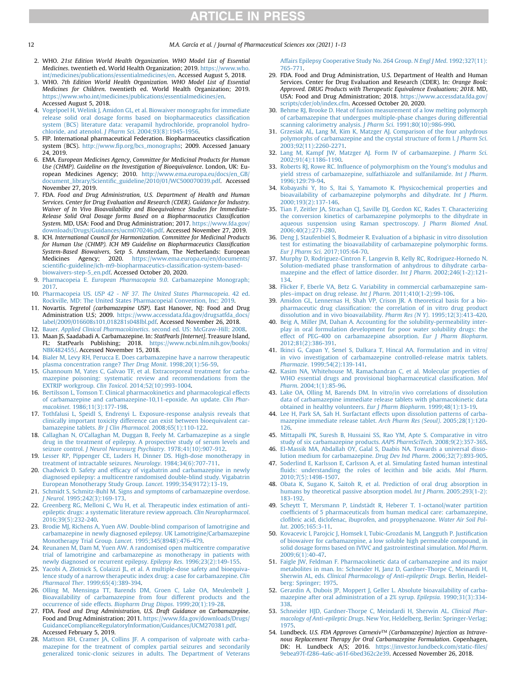#### 12 M.A. García et al. / Journal of Pharmaceutical Sciences xxx (2021) 1-13

- <span id="page-11-49"></span><span id="page-11-48"></span><span id="page-11-0"></span>2. WHO. 21st Edition World Health Organization. WHO Model List of Essential Medicines. twentieth ed. World Health Organization; 2019. [https://www.who.](https://www.who.int/medicines/publications/essentialmedicines/en) [int/medicines/publications/essentialmedicines/en.](https://www.who.int/medicines/publications/essentialmedicines/en) Accessed August 5, 2018.
- <span id="page-11-25"></span>3. WHO. 7th Edition World Health Organization. WHO Model List of Essential Medicines for Children. twentieth ed. World Health Organization; 2019. [https://www.who.int/medicines/publications/essentialmedicines/en.](https://www.who.int/medicines/publications/essentialmedicines/en) Accessed August 5, 2018.
- <span id="page-11-1"></span>4. [Vogelpoel H, Welink J, Amidon GL, et al. Biowaiver monographs for immediate](http://refhub.elsevier.com/S0022-3549(21)00098-8/sref4) [release solid oral dosage forms based on biopharmaceutics classi](http://refhub.elsevier.com/S0022-3549(21)00098-8/sref4)fication [system \(BCS\) literature data: verapamil hydrochloride, propranolol hydro](http://refhub.elsevier.com/S0022-3549(21)00098-8/sref4)chloride, and atenolol. J Pharm Sci[. 2004;93\(8\):1945-1956.](http://refhub.elsevier.com/S0022-3549(21)00098-8/sref4)
- <span id="page-11-2"></span>5. FIP. International pharmaceutical Federation. Biopharmaceutics classification system (BCS). http://www.fi[p.org/bcs\\_monographs](http://www.fip.org/bcs_monographs); 2009. Accessed January 24, 2019.
- <span id="page-11-3"></span>6. EMA. European Medicines Agency, Committee for Medicinal Products for Human Use (CHMP). Guideline on the Investigation of Bioequivalence. London, UK: European Medicines Agency; 2010. [http://www.ema.europa.eu/docs/en\\_GB/](http://www.ema.europa.eu/docs/en_GB/document_library/Scientific_guideline/2010/01/WC500070039.pdf) document\_library/Scientifi[c\\_guideline/2010/01/WC500070039.pdf](http://www.ema.europa.eu/docs/en_GB/document_library/Scientific_guideline/2010/01/WC500070039.pdf). Accessed November 27, 2019.
- <span id="page-11-54"></span>7. FDA. Food and Drug Administration, U.S. Department of Health and Human Services. Center for Drug Evaluation and Research (CDER). Guidance for Industry. Waiver of In Vivo Bioavailability and Bioequivalence Studies for Immediate-Release Solid Oral Dosage forms Based on a Biopharmaceutics Classification System. MD, USA: Food and Drug Administration; 2017. [https://www.fda.gov/](https://www.fda.gov/downloads/Drugs/Guidances/ucm070246.pdf) [downloads/Drugs/Guidances/ucm070246.pdf.](https://www.fda.gov/downloads/Drugs/Guidances/ucm070246.pdf) Accessed November 27, 2019.
- <span id="page-11-55"></span>8. ICH. International Council for Harmonization. Committee for Medicinal Products for Human Use (CHMP). ICH M9 Guideline on Biopharmaceutics Classification System-Based Biowaivers, Setp 5. Amsterdam, The Netherlands: European Medicines Agency; 2020. [https://www.ema.europa.eu/en/documents/](https://www.ema.europa.eu/en/documents/scientific-guideline/ich-m9-biopharmaceutics-classification-system-based-biowaivers-step-5_en.pdf) scientifi[c-guideline/ich-m9-biopharmaceutics-classi](https://www.ema.europa.eu/en/documents/scientific-guideline/ich-m9-biopharmaceutics-classification-system-based-biowaivers-step-5_en.pdf)fication-system-based[biowaivers-step-5\\_en.pdf](https://www.ema.europa.eu/en/documents/scientific-guideline/ich-m9-biopharmaceutics-classification-system-based-biowaivers-step-5_en.pdf). Accessed October 20, 2020.
- <span id="page-11-4"></span>9. Pharmacopeia E. European Pharmacopeia 9.0[. Carbamazepine Monograph;](http://refhub.elsevier.com/S0022-3549(21)00098-8/sref9) [2017](http://refhub.elsevier.com/S0022-3549(21)00098-8/sref9).
- <span id="page-11-5"></span>10. Pharmacopeia US. [USP 42 - NF 37. The United States Pharmacopeia](http://refhub.elsevier.com/S0022-3549(21)00098-8/sref10). 42 ed. [Rockville, MD: The United States Pharmacopeial Convention, Inc; 2019](http://refhub.elsevier.com/S0022-3549(21)00098-8/sref10).
- <span id="page-11-6"></span>11. Novartis. Tegretol (carbamazepine USP). East Hanover, NJ: Food and Drug Administration U.S; 2009. [https://www.accessdata.fda.gov/drugsatfda\\_docs/](https://www.accessdata.fda.gov/drugsatfda_docs/label/2009/016608s101,018281s048lbl.pdf) [label/2009/016608s101,018281s048lbl.pdf](https://www.accessdata.fda.gov/drugsatfda_docs/label/2009/016608s101,018281s048lbl.pdf). Accessed November 26, 2018.
- <span id="page-11-8"></span><span id="page-11-7"></span>12. Bauer. Applied Clinical Pharmacokinetics[. second ed. US: McGraw-Hill; 2008.](http://refhub.elsevier.com/S0022-3549(21)00098-8/sref12) 13. Maan JS, Saadabadi A. Carbamazepine. In: StatPearls [Internet]. Treasure Island, FL: StatPearls Publishing; 2018. [https://www.ncbi.nlm.nih.gov/books/](https://www.ncbi.nlm.nih.gov/books/NBK482455/)
- <span id="page-11-9"></span>[NBK482455/](https://www.ncbi.nlm.nih.gov/books/NBK482455/). Accessed November 15, 2018. 14. [Bialer M, Levy RH, Perucca E. Does carbamazepine have a narrow therapeutic](http://refhub.elsevier.com/S0022-3549(21)00098-8/sref14) [plasma concentration range?](http://refhub.elsevier.com/S0022-3549(21)00098-8/sref14) Ther Drug Monit. 1998;20(1):56-59.
- <span id="page-11-10"></span>15. [Ghannoum M, Yates C, Galvao TF, et al. Extracorporeal treatment for carba](http://refhub.elsevier.com/S0022-3549(21)00098-8/sref15)[mazepine poisoning: systematic review and recommendations from the](http://refhub.elsevier.com/S0022-3549(21)00098-8/sref15) EXTRIP workgroup. Clin Toxicol[. 2014;52\(10\):993-1004.](http://refhub.elsevier.com/S0022-3549(21)00098-8/sref15)
- <span id="page-11-11"></span>16. [Bertilsson L, Tomson T. Clinical pharmacokinetics and pharmacological effects](http://refhub.elsevier.com/S0022-3549(21)00098-8/sref16) [of carbamazepine and carbamazepine-10,11-epoxide. An update.](http://refhub.elsevier.com/S0022-3549(21)00098-8/sref16) Clin Pharmacokinet[. 1986;11\(3\):177-198.](http://refhub.elsevier.com/S0022-3549(21)00098-8/sref16)
- <span id="page-11-12"></span>17. [Tothfalusi L, Speidl S, Endrenyi L. Exposure-response analysis reveals that](http://refhub.elsevier.com/S0022-3549(21)00098-8/sref17) [clinically important toxicity difference can exist between bioequivalent car](http://refhub.elsevier.com/S0022-3549(21)00098-8/sref17)bamazepine tablets. Br J Clin Pharmacol[. 2008;65\(1\):110-122](http://refhub.elsevier.com/S0022-3549(21)00098-8/sref17).
- <span id="page-11-13"></span>18. [Callaghan N, O'Callaghan M, Duggan B, Feely M. Carbamazepine as a single](http://refhub.elsevier.com/S0022-3549(21)00098-8/sref18) [drug in the treatment of epilepsy. A prospective study of serum levels and](http://refhub.elsevier.com/S0022-3549(21)00098-8/sref18) seizure control. [J Neurol Neurosurg Psychiatry](http://refhub.elsevier.com/S0022-3549(21)00098-8/sref18). 1978;41(10):907-912.
- <span id="page-11-14"></span>19. [Lesser RP, Pippenger CE, Luders H, Dinner DS. High-dose monotherapy in](http://refhub.elsevier.com/S0022-3549(21)00098-8/sref19) [treatment of intractable seizures.](http://refhub.elsevier.com/S0022-3549(21)00098-8/sref19) Neurology. 1984;34(6):707-711.
- <span id="page-11-15"></span>20. Chadwick D. Safety and effi[cacy of vigabatrin and carbamazepine in newly](http://refhub.elsevier.com/S0022-3549(21)00098-8/sref20) [diagnosed epilepsy: a multicentre randomised double-blind study. Vigabatrin](http://refhub.elsevier.com/S0022-3549(21)00098-8/sref20) [European Monotherapy Study Group.](http://refhub.elsevier.com/S0022-3549(21)00098-8/sref20) Lancet. 1999;354(9172):13-19.
- <span id="page-11-16"></span>21. [Schmidt S, Schmitz-Buhl M. Signs and symptoms of carbamazepine overdose.](http://refhub.elsevier.com/S0022-3549(21)00098-8/sref21) J Neurol[. 1995;242\(3\):169-173.](http://refhub.elsevier.com/S0022-3549(21)00098-8/sref21)
- <span id="page-11-17"></span>22. [Greenberg RG, Melloni C, Wu H, et al. Therapeutic index estimation of anti](http://refhub.elsevier.com/S0022-3549(21)00098-8/sref22)[epileptic drugs: a systematic literature review approach.](http://refhub.elsevier.com/S0022-3549(21)00098-8/sref22) Clin Neuropharmacol. [2016;39\(5\):232-240.](http://refhub.elsevier.com/S0022-3549(21)00098-8/sref22)
- <span id="page-11-18"></span>23. [Brodie MJ, Richens A, Yuen AW. Double-blind comparison of lamotrigine and](http://refhub.elsevier.com/S0022-3549(21)00098-8/sref23) [carbamazepine in newly diagnosed epilepsy. UK Lamotrigine/Carbamazepine](http://refhub.elsevier.com/S0022-3549(21)00098-8/sref23) Monotherapy Trial Group. Lancet[. 1995;345\(8948\):476-479](http://refhub.elsevier.com/S0022-3549(21)00098-8/sref23).
- <span id="page-11-19"></span>24. [Reunanen M, Dam M, Yuen AW. A randomised open multicentre comparative](http://refhub.elsevier.com/S0022-3549(21)00098-8/sref24) [trial of lamotrigine and carbamazepine as monotherapy in patients with](http://refhub.elsevier.com/S0022-3549(21)00098-8/sref24) [newly diagnosed or recurrent epilepsy.](http://refhub.elsevier.com/S0022-3549(21)00098-8/sref24) Epilepsy Res. 1996;23(2):149-155.
- <span id="page-11-20"></span>25. [Yacobi A, Zlotnick S, Colaizzi JL, et al. A multiple-dose safety and bioequiva](http://refhub.elsevier.com/S0022-3549(21)00098-8/sref25)[lence study of a narrow therapeutic index drug: a case for carbamazepine.](http://refhub.elsevier.com/S0022-3549(21)00098-8/sref25) Clin Pharmacol Ther[. 1999;65\(4\):389-394](http://refhub.elsevier.com/S0022-3549(21)00098-8/sref25).
- <span id="page-11-21"></span>26. [Olling M, Mensinga TT, Barends DM, Groen C, Lake OA, Meulenbelt J.](http://refhub.elsevier.com/S0022-3549(21)00098-8/sref26) [Bioavailability of carbamazepine from four different products and the](http://refhub.elsevier.com/S0022-3549(21)00098-8/sref26) [occurrence of side effects.](http://refhub.elsevier.com/S0022-3549(21)00098-8/sref26) Biopharm Drug Dispos. 1999;20(1):19-28.
- <span id="page-11-22"></span>27. FDA. Food and Drug Administration, U.S. Draft Guidance on Carbamazepine. Food and Drug Administration; 2011. [https://www.fda.gov/downloads/Drugs/](https://www.fda.gov/downloads/Drugs/GuidanceComplianceRegulatoryInformation/Guidances/UCM270381.pdf) [GuidanceComplianceRegulatoryInformation/Guidances/UCM270381.pdf.](https://www.fda.gov/downloads/Drugs/GuidanceComplianceRegulatoryInformation/Guidances/UCM270381.pdf) Accessed February 5, 2019.
- <span id="page-11-23"></span>28. [Mattson RH, Cramer JA, Collins JF. A comparison of valproate with carba](http://refhub.elsevier.com/S0022-3549(21)00098-8/sref28)[mazepine for the treatment of complex partial seizures and secondarily](http://refhub.elsevier.com/S0022-3549(21)00098-8/sref28) [generalized tonic-clonic seizures in adults. The Department of Veterans](http://refhub.elsevier.com/S0022-3549(21)00098-8/sref28)

<span id="page-11-51"></span>[Affairs Epilepsy Cooperative Study No. 264 Group.](http://refhub.elsevier.com/S0022-3549(21)00098-8/sref28) N Engl J Med. 1992;327(11): [765-771.](http://refhub.elsevier.com/S0022-3549(21)00098-8/sref28)

- <span id="page-11-24"></span>29. FDA. Food and Drug Administration, U.S. Department of Health and Human Services. Center for Drug Evaluation and Research (CDER). In: Orange Book: Approved. DRUG Products with Therapeutic Equivalence Evaluations; 2018. MD, USA: Food and Drug Administration; 2018. [https://www.accessdata.fda.gov/](https://www.accessdata.fda.gov/scripts/cder/ob/index.cfm) [scripts/cder/ob/index.cfm](https://www.accessdata.fda.gov/scripts/cder/ob/index.cfm). Accessed October 20, 2020.
- <span id="page-11-26"></span>30. [Behme RJ, Brooke D. Heat of fusion measurement of a low melting polymorph](http://refhub.elsevier.com/S0022-3549(21)00098-8/sref30) [of carbamazepine that undergoes multiple-phase changes during differential](http://refhub.elsevier.com/S0022-3549(21)00098-8/sref30) [scanning calorimetry analysis.](http://refhub.elsevier.com/S0022-3549(21)00098-8/sref30) J Pharm Sci. 1991;80(10):986-990.
- <span id="page-11-27"></span>31. [Grzesiak AL, Lang M, Kim K, Matzger AJ. Comparison of the four anhydrous](http://refhub.elsevier.com/S0022-3549(21)00098-8/sref31) [polymorphs of carbamazepine and the crystal structure of form I.](http://refhub.elsevier.com/S0022-3549(21)00098-8/sref31) J Pharm Sci. [2003;92\(11\):2260-2271](http://refhub.elsevier.com/S0022-3549(21)00098-8/sref31).
- 32. [Lang M, Kampf JW, Matzger AJ. Form IV of carbamazepine.](http://refhub.elsevier.com/S0022-3549(21)00098-8/sref32) *J Pharm Sci.* [2002;91\(4\):1186-1190](http://refhub.elsevier.com/S0022-3549(21)00098-8/sref32).
- <span id="page-11-28"></span>33. Roberts RJ, Rowe RC. Infl[uence of polymorphism on the Young's modulus and](http://refhub.elsevier.com/S0022-3549(21)00098-8/sref33) [yield stress of carbamazepine, sulfathiazole and sulfanilamide.](http://refhub.elsevier.com/S0022-3549(21)00098-8/sref33) Int J Pharm. [1996;129:79-94](http://refhub.elsevier.com/S0022-3549(21)00098-8/sref33).
- <span id="page-11-29"></span>34. [Kobayashi Y, Ito S, Itai S, Yamamoto K. Physicochemical properties and](http://refhub.elsevier.com/S0022-3549(21)00098-8/sref34) [bioavailability of carbamazepine polymorphs and dihydrate.](http://refhub.elsevier.com/S0022-3549(21)00098-8/sref34) Int J Pharm. [2000;193\(2\):137-146](http://refhub.elsevier.com/S0022-3549(21)00098-8/sref34).
- <span id="page-11-30"></span>35. [Tian F, Zeitler JA, Strachan CJ, Saville DJ, Gordon KC, Rades T. Characterizing](http://refhub.elsevier.com/S0022-3549(21)00098-8/sref35) [the conversion kinetics of carbamazepine polymorphs to the dihydrate in](http://refhub.elsevier.com/S0022-3549(21)00098-8/sref35) [aqueous suspension using Raman spectroscopy.](http://refhub.elsevier.com/S0022-3549(21)00098-8/sref35) J Pharm Biomed Anal. [2006;40\(2\):271-280.](http://refhub.elsevier.com/S0022-3549(21)00098-8/sref35)
- <span id="page-11-31"></span>36. [Deng J, Staufenbiel S, Bodmeier R. Evaluation of a biphasic in vitro dissolution](http://refhub.elsevier.com/S0022-3549(21)00098-8/sref36) [test for estimating the bioavailability of carbamazepine polymorphic forms.](http://refhub.elsevier.com/S0022-3549(21)00098-8/sref36) Eur J Pharm Sci[. 2017;105:64-70.](http://refhub.elsevier.com/S0022-3549(21)00098-8/sref36)
- <span id="page-11-52"></span><span id="page-11-50"></span><span id="page-11-32"></span>37. [Murphy D, Rodriguez-Cintron F, Langevin B, Kelly RC, Rodriguez-Hornedo N.](http://refhub.elsevier.com/S0022-3549(21)00098-8/sref37) [Solution-mediated phase transformation of anhydrous to dihydrate carba](http://refhub.elsevier.com/S0022-3549(21)00098-8/sref37)[mazepine and the effect of lattice disorder.](http://refhub.elsevier.com/S0022-3549(21)00098-8/sref37) Int J Pharm. 2002;246(1-2):121- [134.](http://refhub.elsevier.com/S0022-3549(21)00098-8/sref37)
- <span id="page-11-33"></span>38. [Flicker F, Eberle VA, Betz G. Variability in commercial carbamazepine sam](http://refhub.elsevier.com/S0022-3549(21)00098-8/sref38)ples–[impact on drug release.](http://refhub.elsevier.com/S0022-3549(21)00098-8/sref38) Int J Pharm. 2011;410(1-2):99-106.
- <span id="page-11-34"></span>39. [Amidon GL, Lennernas H, Shah VP, Crison JR. A theoretical basis for a bio](http://refhub.elsevier.com/S0022-3549(21)00098-8/sref39)pharmaceutic drug classifi[cation: the correlation of in vitro drug product](http://refhub.elsevier.com/S0022-3549(21)00098-8/sref39) [dissolution and in vivo bioavailability.](http://refhub.elsevier.com/S0022-3549(21)00098-8/sref39) Pharm Res (N Y). 1995;12(3):413-420.
- <span id="page-11-36"></span>40. [Beig A, Miller JM, Dahan A. Accounting for the solubility-permeability inter](http://refhub.elsevier.com/S0022-3549(21)00098-8/sref40)[play in oral formulation development for poor water solubility drugs: the](http://refhub.elsevier.com/S0022-3549(21)00098-8/sref40) [effect of PEG-400 on carbamazepine absorption.](http://refhub.elsevier.com/S0022-3549(21)00098-8/sref40) Eur J Pharm Biopharm. [2012;81\(2\):386-391.](http://refhub.elsevier.com/S0022-3549(21)00098-8/sref40)
- 41. [Ikinci G, Capan Y, Senel S, Dalkara T, Hincal AA. Formulation and in vitro/](http://refhub.elsevier.com/S0022-3549(21)00098-8/sref41) [in vivo investigation of carbamazepine controlled-release matrix tablets.](http://refhub.elsevier.com/S0022-3549(21)00098-8/sref41) Pharmazie[. 1999;54\(2\):139-141.](http://refhub.elsevier.com/S0022-3549(21)00098-8/sref41)
- <span id="page-11-40"></span>42. [Kasim NA, Whitehouse M, Ramachandran C, et al. Molecular properties of](http://refhub.elsevier.com/S0022-3549(21)00098-8/sref42) [WHO essential drugs and provisional biopharmaceutical classi](http://refhub.elsevier.com/S0022-3549(21)00098-8/sref42)fication. Mol Pharm[. 2004;1\(1\):85-96](http://refhub.elsevier.com/S0022-3549(21)00098-8/sref42).
- <span id="page-11-37"></span>43. [Lake OA, Olling M, Barends DM. In vitro/in vivo correlations of dissolution](http://refhub.elsevier.com/S0022-3549(21)00098-8/sref43) [data of carbamazepine immediate release tablets with pharmacokinetic data](http://refhub.elsevier.com/S0022-3549(21)00098-8/sref43) [obtained in healthy volunteers.](http://refhub.elsevier.com/S0022-3549(21)00098-8/sref43) Eur J Pharm Biopharm. 1999;48(1):13-19.
- <span id="page-11-35"></span>44. [Lee H, Park SA, Sah H. Surfactant effects upon dissolution patterns of carba](http://refhub.elsevier.com/S0022-3549(21)00098-8/sref44)[mazepine immediate release tablet.](http://refhub.elsevier.com/S0022-3549(21)00098-8/sref44) Arch Pharm Res (Seoul). 2005;28(1):120- [126.](http://refhub.elsevier.com/S0022-3549(21)00098-8/sref44)
- <span id="page-11-53"></span>45. [Mittapalli PK, Suresh B, Hussaini SS, Rao YM, Apte S. Comparative in vitro](http://refhub.elsevier.com/S0022-3549(21)00098-8/sref45) [study of six carbamazepine products.](http://refhub.elsevier.com/S0022-3549(21)00098-8/sref45) AAPS PharmSciTech. 2008;9(2):357-365.
- <span id="page-11-38"></span>46. [El-Massik MA, Abdallah OY, Galal S, Daabis NA. Towards a universal disso](http://refhub.elsevier.com/S0022-3549(21)00098-8/sref46)[lution medium for carbamazepine.](http://refhub.elsevier.com/S0022-3549(21)00098-8/sref46) Drug Dev Ind Pharm. 2006;32(7):893-905.
- <span id="page-11-39"></span>47. [Soderlind E, Karlsson E, Carlsson A, et al. Simulating fasted human intestinal](http://refhub.elsevier.com/S0022-3549(21)00098-8/sref47) fl[uids: understanding the roles of lecithin and bile acids.](http://refhub.elsevier.com/S0022-3549(21)00098-8/sref47) Mol Pharm. [2010;7\(5\):1498-1507](http://refhub.elsevier.com/S0022-3549(21)00098-8/sref47).
- <span id="page-11-41"></span>48. [Obata K, Sugano K, Saitoh R, et al. Prediction of oral drug absorption in](http://refhub.elsevier.com/S0022-3549(21)00098-8/sref48) [humans by theoretical passive absorption model.](http://refhub.elsevier.com/S0022-3549(21)00098-8/sref48) Int J Pharm. 2005;293(1-2): [183-192.](http://refhub.elsevier.com/S0022-3549(21)00098-8/sref48)
- <span id="page-11-42"></span>49. Scheytt T, Mersmann P, Lindstädt R, Heberer T. 1-octanol/water partition coeffi[cients of 5 pharmaceuticals from human medical care: carbamazepine,](http://refhub.elsevier.com/S0022-3549(21)00098-8/sref49) clofi[bric acid, diclofenac, ibuprofen, and propyphenazone.](http://refhub.elsevier.com/S0022-3549(21)00098-8/sref49) Water Air Soil Pollut[. 2005;165:3-11](http://refhub.elsevier.com/S0022-3549(21)00098-8/sref49).
- <span id="page-11-43"></span>50. [Kovacevic I, Parojcic J, Homsek I, Tubic-Grozdanis M, Langguth P. Justi](http://refhub.elsevier.com/S0022-3549(21)00098-8/sref50)fication [of biowaiver for carbamazepine, a low soluble high permeable compound, in](http://refhub.elsevier.com/S0022-3549(21)00098-8/sref50) [solid dosage forms based on IVIVC and gastrointestinal simulation.](http://refhub.elsevier.com/S0022-3549(21)00098-8/sref50) Mol Pharm. [2009;6\(1\):40-47](http://refhub.elsevier.com/S0022-3549(21)00098-8/sref50).
- <span id="page-11-44"></span>51. [Faigle JW, Feldman F. Pharmacokinetic data of carbamazepine and its major](http://refhub.elsevier.com/S0022-3549(21)00098-8/sref51) [metabolites in man. In: Schneider H, Janz D, Gardner-Thorpe C, Meinardi H,](http://refhub.elsevier.com/S0022-3549(21)00098-8/sref51) Sherwin AL, eds. [Clinical Pharmacology of Anti-epileptic Drugs](http://refhub.elsevier.com/S0022-3549(21)00098-8/sref51). Berlin, Heidel[berg: Springer; 1975.](http://refhub.elsevier.com/S0022-3549(21)00098-8/sref51)
- <span id="page-11-45"></span>52. [Gerardin A, Dubois JP, Moppert J, Geller L. Absolute bioavailability of carba](http://refhub.elsevier.com/S0022-3549(21)00098-8/sref52)[mazepine after oral administration of a 2% syrup.](http://refhub.elsevier.com/S0022-3549(21)00098-8/sref52) Epilepsia. 1990;31(3):334- [338.](http://refhub.elsevier.com/S0022-3549(21)00098-8/sref52)
- <span id="page-11-46"></span>53. [Schneider HJD, Gardner-Thorpe C, Meindardi H, Sherwin AL.](http://refhub.elsevier.com/S0022-3549(21)00098-8/sref53) Clinical Phar-macology of Anti-epileptic Drugs[. New Yor, Heldelberg, Berlin: Springer-Verlag;](http://refhub.elsevier.com/S0022-3549(21)00098-8/sref53) [1975](http://refhub.elsevier.com/S0022-3549(21)00098-8/sref53).
- <span id="page-11-47"></span>54. Lundbeck. U.S. FDA Approves Carnexiv™ (Carbamazepine) Injection as Intravenous Replacement Therapy for Oral Carbamazepine Formulation. Copenhagen, DK: H. Lundbeck A/S; 2016. [https://investor.lundbeck.com/static-](https://investor.lundbeck.com/static-files/9ebea97f-f286-4a6c-a61f-6bed362c2e39)files/ [9ebea97f-f286-4a6c-a61f-6bed362c2e39.](https://investor.lundbeck.com/static-files/9ebea97f-f286-4a6c-a61f-6bed362c2e39) Accessed November 26, 2018.